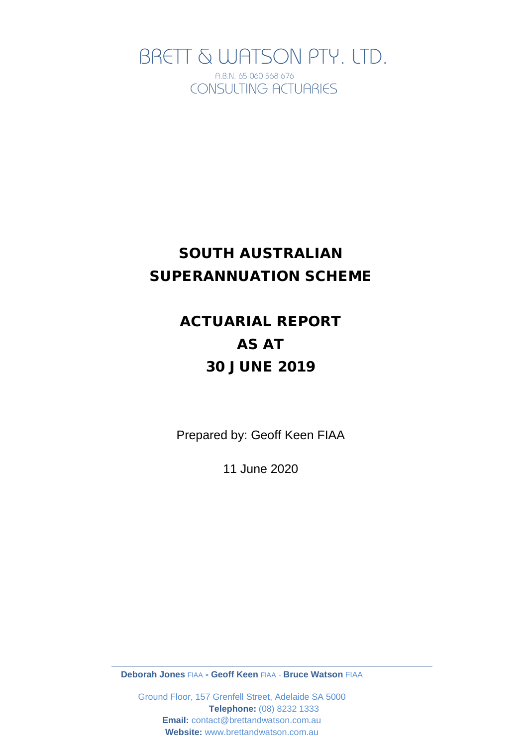BRETT & WATSON PTY. LTD. A.B.N. 65 060 568 676 CONSULTING ACTUARIES

# SOUTH AUSTRALIAN SUPERANNUATION SCHEME

# ACTUARIAL REPORT AS AT 30 JUNE 2019

Prepared by: Geoff Keen FIAA

11 June 2020

**Deborah Jones** FIAA **- Geoff Keen** FIAA - **Bruce Watson** FIAA

**\_\_\_\_\_\_\_\_\_\_\_\_\_\_\_\_\_\_\_\_\_\_\_\_\_\_\_\_\_\_\_\_\_\_\_\_\_\_\_\_\_\_\_\_\_\_\_\_\_\_\_\_\_\_\_\_\_\_\_\_\_\_\_\_\_\_\_\_\_\_\_\_\_\_\_\_**

Ground Floor, 157 Grenfell Street, Adelaide SA 5000 **Telephone:** (08) 8232 1333 **Email:** contact@brettandwatson.com.au **Website:** www.brettandwatson.com.au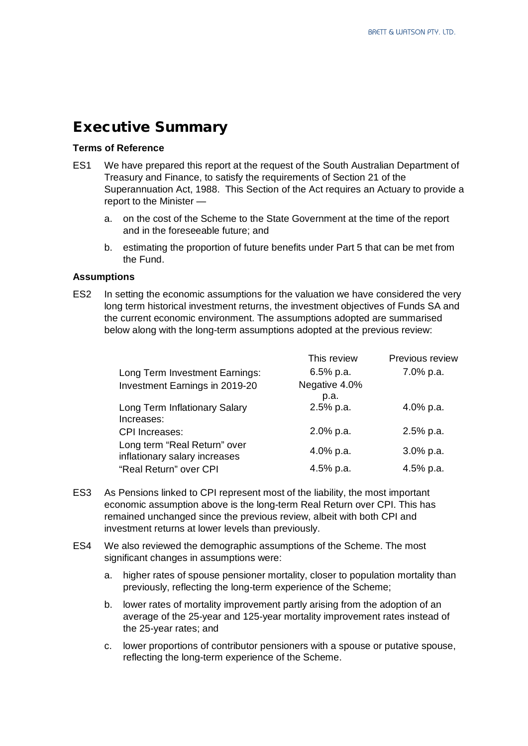# Executive Summary

#### **Terms of Reference**

- ES1 We have prepared this report at the request of the South Australian Department of Treasury and Finance, to satisfy the requirements of Section 21 of the Superannuation Act, 1988. This Section of the Act requires an Actuary to provide a report to the Minister
	- a. on the cost of the Scheme to the State Government at the time of the report and in the foreseeable future; and
	- b. estimating the proportion of future benefits under Part 5 that can be met from the Fund.

#### **Assumptions**

ES2 In setting the economic assumptions for the valuation we have considered the very long term historical investment returns, the investment objectives of Funds SA and the current economic environment. The assumptions adopted are summarised below along with the long-term assumptions adopted at the previous review:

| This review   | Previous review |
|---------------|-----------------|
| $6.5%$ p.a.   | 7.0% p.a.       |
| Negative 4.0% |                 |
| p.a.          |                 |
| 2.5% p.a.     | 4.0% p.a.       |
|               |                 |
| 2.0% p.a.     | 2.5% p.a.       |
|               | $3.0\%$ p.a.    |
|               |                 |
| 4.5% p.a.     | 4.5% p.a.       |
|               | 4.0% p.a.       |

- ES3 As Pensions linked to CPI represent most of the liability, the most important economic assumption above is the long-term Real Return over CPI. This has remained unchanged since the previous review, albeit with both CPI and investment returns at lower levels than previously.
- ES4 We also reviewed the demographic assumptions of the Scheme. The most significant changes in assumptions were:
	- a. higher rates of spouse pensioner mortality, closer to population mortality than previously, reflecting the long-term experience of the Scheme;
	- b. lower rates of mortality improvement partly arising from the adoption of an average of the 25-year and 125-year mortality improvement rates instead of the 25-year rates; and
	- c. lower proportions of contributor pensioners with a spouse or putative spouse, reflecting the long-term experience of the Scheme.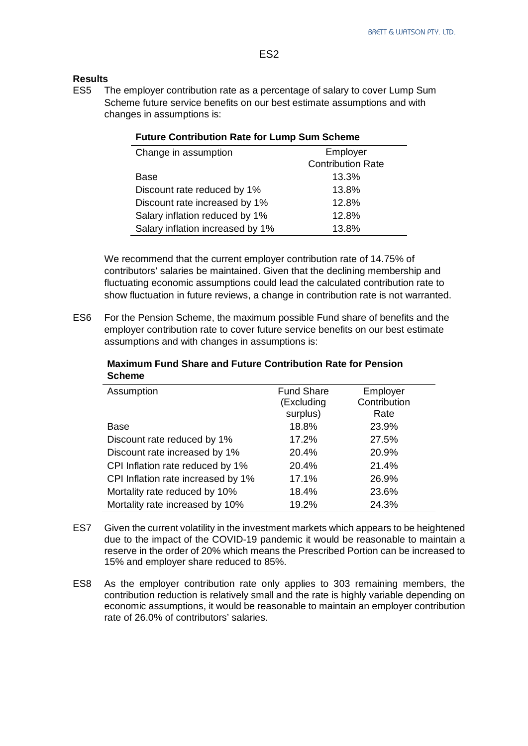#### **Results**

ES5 The employer contribution rate as a percentage of salary to cover Lump Sum Scheme future service benefits on our best estimate assumptions and with changes in assumptions is:

**Future Contribution Rate for Lump Sum Scheme**

| Change in assumption             | Employer                 |
|----------------------------------|--------------------------|
|                                  | <b>Contribution Rate</b> |
| Base                             | 13.3%                    |
| Discount rate reduced by 1%      | 13.8%                    |
| Discount rate increased by 1%    | 12.8%                    |
| Salary inflation reduced by 1%   | 12.8%                    |
| Salary inflation increased by 1% | 13.8%                    |
|                                  |                          |

#### We recommend that the current employer contribution rate of 14.75% of contributors' salaries be maintained. Given that the declining membership and fluctuating economic assumptions could lead the calculated contribution rate to show fluctuation in future reviews, a change in contribution rate is not warranted.

ES6 For the Pension Scheme, the maximum possible Fund share of benefits and the employer contribution rate to cover future service benefits on our best estimate assumptions and with changes in assumptions is:

**Maximum Fund Share and Future Contribution Rate for Pension Scheme**

| Assumption                         | <b>Fund Share</b><br>(Excluding<br>surplus) | Employer<br>Contribution<br>Rate |
|------------------------------------|---------------------------------------------|----------------------------------|
| Base                               | 18.8%                                       | 23.9%                            |
| Discount rate reduced by 1%        | 17.2%                                       | 27.5%                            |
| Discount rate increased by 1%      | 20.4%                                       | 20.9%                            |
| CPI Inflation rate reduced by 1%   | 20.4%                                       | 21.4%                            |
| CPI Inflation rate increased by 1% | 17.1%                                       | 26.9%                            |
| Mortality rate reduced by 10%      | 18.4%                                       | 23.6%                            |
| Mortality rate increased by 10%    | 19.2%                                       | 24.3%                            |

- ES7 Given the current volatility in the investment markets which appears to be heightened due to the impact of the COVID-19 pandemic it would be reasonable to maintain a reserve in the order of 20% which means the Prescribed Portion can be increased to 15% and employer share reduced to 85%.
- ES8 As the employer contribution rate only applies to 303 remaining members, the contribution reduction is relatively small and the rate is highly variable depending on economic assumptions, it would be reasonable to maintain an employer contribution rate of 26.0% of contributors' salaries.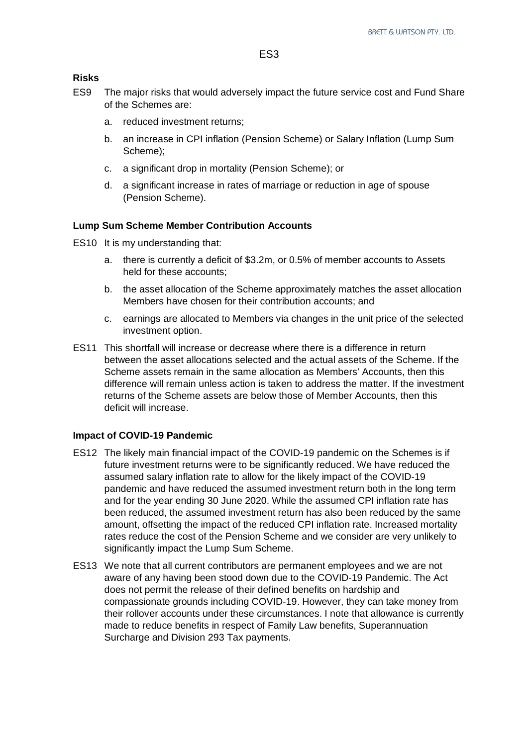#### **Risks**

- ES9 The major risks that would adversely impact the future service cost and Fund Share of the Schemes are:
	- a. reduced investment returns;
	- b. an increase in CPI inflation (Pension Scheme) or Salary Inflation (Lump Sum Scheme);
	- c. a significant drop in mortality (Pension Scheme); or
	- d. a significant increase in rates of marriage or reduction in age of spouse (Pension Scheme).

#### **Lump Sum Scheme Member Contribution Accounts**

- ES10 It is my understanding that:
	- a. there is currently a deficit of \$3.2m, or 0.5% of member accounts to Assets held for these accounts;
	- b. the asset allocation of the Scheme approximately matches the asset allocation Members have chosen for their contribution accounts; and
	- c. earnings are allocated to Members via changes in the unit price of the selected investment option.
- ES11 This shortfall will increase or decrease where there is a difference in return between the asset allocations selected and the actual assets of the Scheme. If the Scheme assets remain in the same allocation as Members' Accounts, then this difference will remain unless action is taken to address the matter. If the investment returns of the Scheme assets are below those of Member Accounts, then this deficit will increase.

#### **Impact of COVID-19 Pandemic**

- ES12 The likely main financial impact of the COVID-19 pandemic on the Schemes is if future investment returns were to be significantly reduced. We have reduced the assumed salary inflation rate to allow for the likely impact of the COVID-19 pandemic and have reduced the assumed investment return both in the long term and for the year ending 30 June 2020. While the assumed CPI inflation rate has been reduced, the assumed investment return has also been reduced by the same amount, offsetting the impact of the reduced CPI inflation rate. Increased mortality rates reduce the cost of the Pension Scheme and we consider are very unlikely to significantly impact the Lump Sum Scheme.
- ES13 We note that all current contributors are permanent employees and we are not aware of any having been stood down due to the COVID-19 Pandemic. The Act does not permit the release of their defined benefits on hardship and compassionate grounds including COVID-19. However, they can take money from their rollover accounts under these circumstances. I note that allowance is currently made to reduce benefits in respect of Family Law benefits, Superannuation Surcharge and Division 293 Tax payments.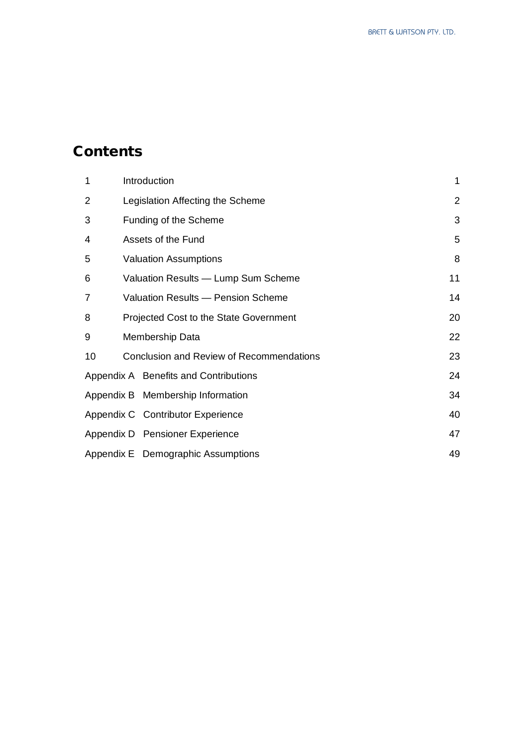# **Contents**

| 1              | Introduction                             | 1              |
|----------------|------------------------------------------|----------------|
| $\overline{2}$ | Legislation Affecting the Scheme         | $\overline{2}$ |
| 3              | Funding of the Scheme                    | 3              |
| 4              | Assets of the Fund                       | 5              |
| 5              | <b>Valuation Assumptions</b>             | 8              |
| 6              | Valuation Results - Lump Sum Scheme      | 11             |
| 7              | Valuation Results - Pension Scheme       | 14             |
| 8              | Projected Cost to the State Government   | 20             |
| 9              | Membership Data                          | 22             |
| 10             | Conclusion and Review of Recommendations | 23             |
|                | Appendix A Benefits and Contributions    | 24             |
|                | Appendix B Membership Information        | 34             |
|                | Appendix C Contributor Experience        | 40             |
|                | Appendix D Pensioner Experience          | 47             |
|                | Appendix E Demographic Assumptions       | 49             |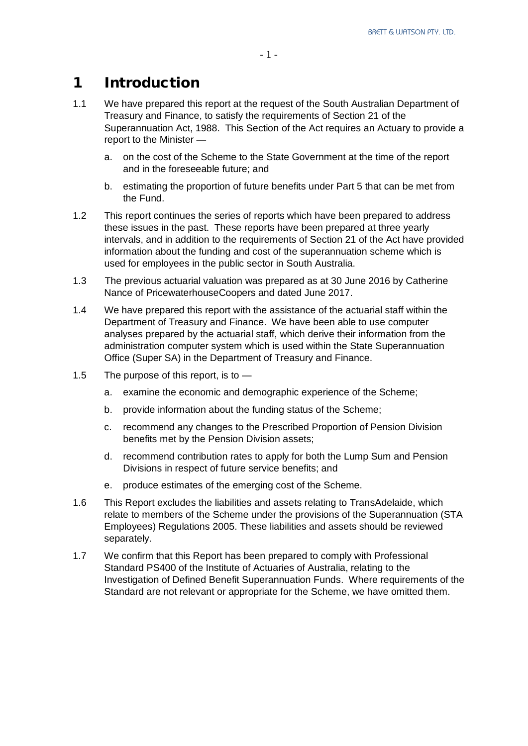# 1 Introduction

- 1.1 We have prepared this report at the request of the South Australian Department of Treasury and Finance, to satisfy the requirements of Section 21 of the Superannuation Act, 1988. This Section of the Act requires an Actuary to provide a report to the Minister
	- a. on the cost of the Scheme to the State Government at the time of the report and in the foreseeable future; and
	- b. estimating the proportion of future benefits under Part 5 that can be met from the Fund.
- 1.2 This report continues the series of reports which have been prepared to address these issues in the past. These reports have been prepared at three yearly intervals, and in addition to the requirements of Section 21 of the Act have provided information about the funding and cost of the superannuation scheme which is used for employees in the public sector in South Australia.
- 1.3 The previous actuarial valuation was prepared as at 30 June 2016 by Catherine Nance of PricewaterhouseCoopers and dated June 2017.
- 1.4 We have prepared this report with the assistance of the actuarial staff within the Department of Treasury and Finance. We have been able to use computer analyses prepared by the actuarial staff, which derive their information from the administration computer system which is used within the State Superannuation Office (Super SA) in the Department of Treasury and Finance.
- 1.5 The purpose of this report, is to
	- a. examine the economic and demographic experience of the Scheme;
	- b. provide information about the funding status of the Scheme;
	- c. recommend any changes to the Prescribed Proportion of Pension Division benefits met by the Pension Division assets;
	- d. recommend contribution rates to apply for both the Lump Sum and Pension Divisions in respect of future service benefits; and
	- e. produce estimates of the emerging cost of the Scheme.
- 1.6 This Report excludes the liabilities and assets relating to TransAdelaide, which relate to members of the Scheme under the provisions of the Superannuation (STA Employees) Regulations 2005. These liabilities and assets should be reviewed separately.
- 1.7 We confirm that this Report has been prepared to comply with Professional Standard PS400 of the Institute of Actuaries of Australia, relating to the Investigation of Defined Benefit Superannuation Funds. Where requirements of the Standard are not relevant or appropriate for the Scheme, we have omitted them.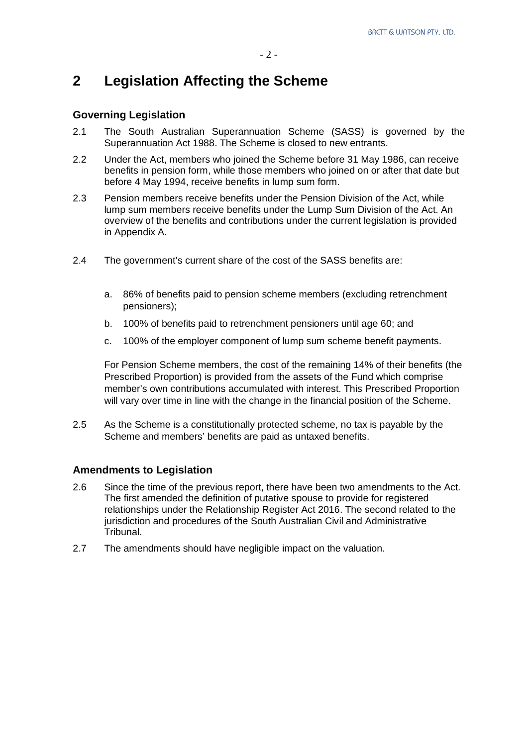# **2 Legislation Affecting the Scheme**

#### **Governing Legislation**

- 2.1 The South Australian Superannuation Scheme (SASS) is governed by the Superannuation Act 1988. The Scheme is closed to new entrants.
- 2.2 Under the Act, members who joined the Scheme before 31 May 1986, can receive benefits in pension form, while those members who joined on or after that date but before 4 May 1994, receive benefits in lump sum form.
- 2.3 Pension members receive benefits under the Pension Division of the Act, while lump sum members receive benefits under the Lump Sum Division of the Act. An overview of the benefits and contributions under the current legislation is provided in Appendix A.
- 2.4 The government's current share of the cost of the SASS benefits are:
	- a. 86% of benefits paid to pension scheme members (excluding retrenchment pensioners);
	- b. 100% of benefits paid to retrenchment pensioners until age 60; and
	- c. 100% of the employer component of lump sum scheme benefit payments.

For Pension Scheme members, the cost of the remaining 14% of their benefits (the Prescribed Proportion) is provided from the assets of the Fund which comprise member's own contributions accumulated with interest. This Prescribed Proportion will vary over time in line with the change in the financial position of the Scheme.

2.5 As the Scheme is a constitutionally protected scheme, no tax is payable by the Scheme and members' benefits are paid as untaxed benefits.

#### **Amendments to Legislation**

- 2.6 Since the time of the previous report, there have been two amendments to the Act. The first amended the definition of putative spouse to provide for registered relationships under the Relationship Register Act 2016. The second related to the jurisdiction and procedures of the South Australian Civil and Administrative Tribunal.
- 2.7 The amendments should have negligible impact on the valuation.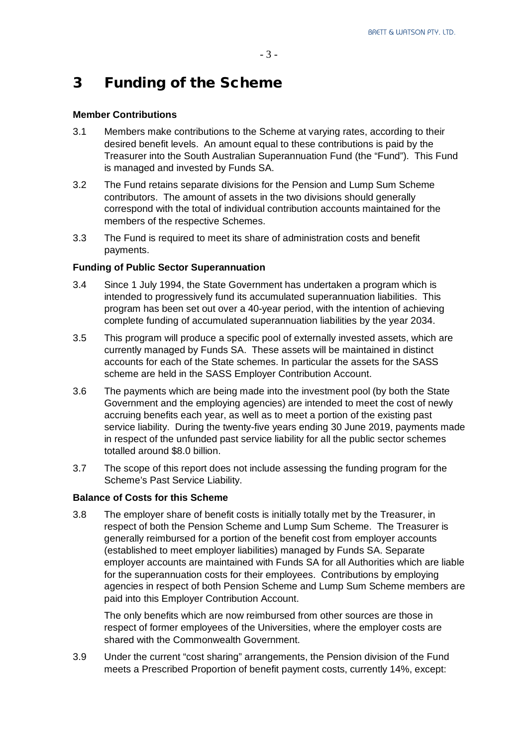# 3 Funding of the Scheme

#### **Member Contributions**

- 3.1 Members make contributions to the Scheme at varying rates, according to their desired benefit levels. An amount equal to these contributions is paid by the Treasurer into the South Australian Superannuation Fund (the "Fund"). This Fund is managed and invested by Funds SA.
- 3.2 The Fund retains separate divisions for the Pension and Lump Sum Scheme contributors. The amount of assets in the two divisions should generally correspond with the total of individual contribution accounts maintained for the members of the respective Schemes.
- 3.3 The Fund is required to meet its share of administration costs and benefit payments.

#### **Funding of Public Sector Superannuation**

- 3.4 Since 1 July 1994, the State Government has undertaken a program which is intended to progressively fund its accumulated superannuation liabilities. This program has been set out over a 40-year period, with the intention of achieving complete funding of accumulated superannuation liabilities by the year 2034.
- 3.5 This program will produce a specific pool of externally invested assets, which are currently managed by Funds SA. These assets will be maintained in distinct accounts for each of the State schemes. In particular the assets for the SASS scheme are held in the SASS Employer Contribution Account.
- 3.6 The payments which are being made into the investment pool (by both the State Government and the employing agencies) are intended to meet the cost of newly accruing benefits each year, as well as to meet a portion of the existing past service liability. During the twenty-five years ending 30 June 2019, payments made in respect of the unfunded past service liability for all the public sector schemes totalled around \$8.0 billion.
- 3.7 The scope of this report does not include assessing the funding program for the Scheme's Past Service Liability.

#### **Balance of Costs for this Scheme**

3.8 The employer share of benefit costs is initially totally met by the Treasurer, in respect of both the Pension Scheme and Lump Sum Scheme. The Treasurer is generally reimbursed for a portion of the benefit cost from employer accounts (established to meet employer liabilities) managed by Funds SA. Separate employer accounts are maintained with Funds SA for all Authorities which are liable for the superannuation costs for their employees. Contributions by employing agencies in respect of both Pension Scheme and Lump Sum Scheme members are paid into this Employer Contribution Account.

The only benefits which are now reimbursed from other sources are those in respect of former employees of the Universities, where the employer costs are shared with the Commonwealth Government.

3.9 Under the current "cost sharing" arrangements, the Pension division of the Fund meets a Prescribed Proportion of benefit payment costs, currently 14%, except: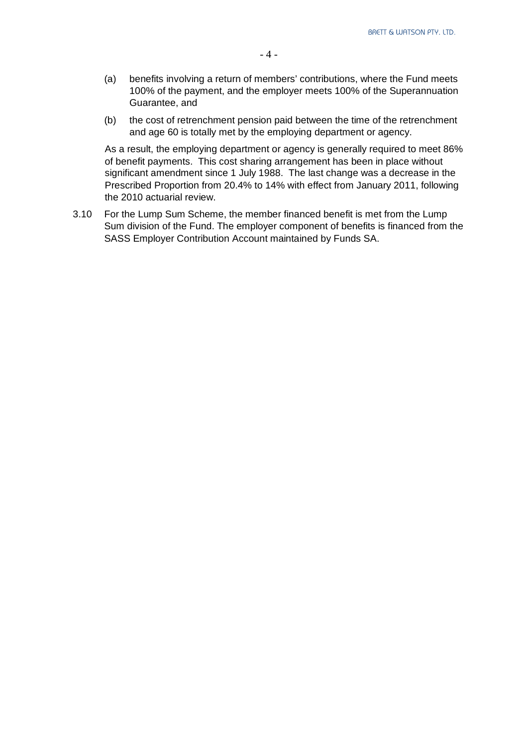- (a) benefits involving a return of members' contributions, where the Fund meets 100% of the payment, and the employer meets 100% of the Superannuation Guarantee, and
- (b) the cost of retrenchment pension paid between the time of the retrenchment and age 60 is totally met by the employing department or agency.

As a result, the employing department or agency is generally required to meet 86% of benefit payments. This cost sharing arrangement has been in place without significant amendment since 1 July 1988. The last change was a decrease in the Prescribed Proportion from 20.4% to 14% with effect from January 2011, following the 2010 actuarial review.

3.10 For the Lump Sum Scheme, the member financed benefit is met from the Lump Sum division of the Fund. The employer component of benefits is financed from the SASS Employer Contribution Account maintained by Funds SA.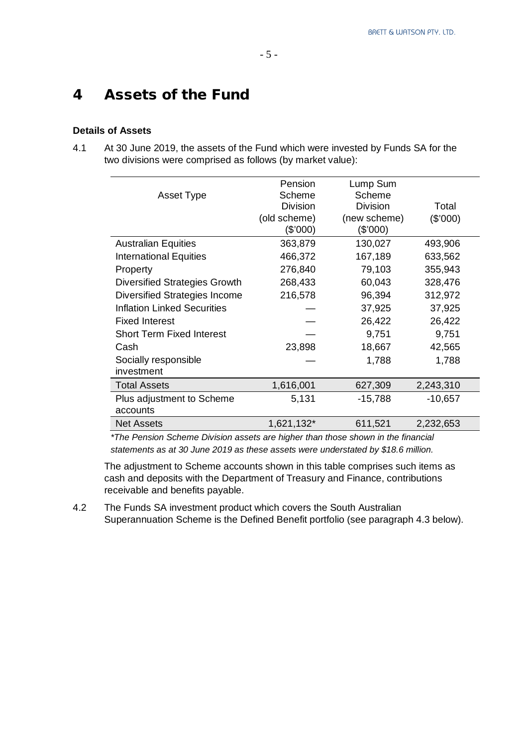# 4 Assets of the Fund

#### **Details of Assets**

4.1 At 30 June 2019, the assets of the Fund which were invested by Funds SA for the two divisions were comprised as follows (by market value):

|                                      | Pension<br>Scheme | Lump Sum<br>Scheme |           |
|--------------------------------------|-------------------|--------------------|-----------|
| Asset Type                           |                   |                    |           |
|                                      | <b>Division</b>   | <b>Division</b>    | Total     |
|                                      | (old scheme)      | (new scheme)       | (\$'000)  |
|                                      | (\$'000)          | (\$'000)           |           |
| <b>Australian Equities</b>           | 363,879           | 130,027            | 493,906   |
| <b>International Equities</b>        | 466,372           | 167,189            | 633,562   |
| Property                             | 276,840           | 79,103             | 355,943   |
| <b>Diversified Strategies Growth</b> | 268,433           | 60,043             | 328,476   |
| Diversified Strategies Income        | 216,578           | 96,394             | 312,972   |
| <b>Inflation Linked Securities</b>   |                   | 37,925             | 37,925    |
| <b>Fixed Interest</b>                |                   | 26,422             | 26,422    |
| <b>Short Term Fixed Interest</b>     |                   | 9,751              | 9,751     |
| Cash                                 | 23,898            | 18,667             | 42,565    |
| Socially responsible                 |                   | 1,788              | 1,788     |
| investment                           |                   |                    |           |
| <b>Total Assets</b>                  | 1,616,001         | 627,309            | 2,243,310 |
| Plus adjustment to Scheme            | 5,131             | $-15,788$          | $-10,657$ |
| accounts                             |                   |                    |           |
| <b>Net Assets</b>                    | 1,621,132*        | 611,521            | 2,232,653 |

*\*The Pension Scheme Division assets are higher than those shown in the financial statements as at 30 June 2019 as these assets were understated by \$18.6 million.*

The adjustment to Scheme accounts shown in this table comprises such items as cash and deposits with the Department of Treasury and Finance, contributions receivable and benefits payable.

4.2 The Funds SA investment product which covers the South Australian Superannuation Scheme is the Defined Benefit portfolio (see paragraph 4.3 below).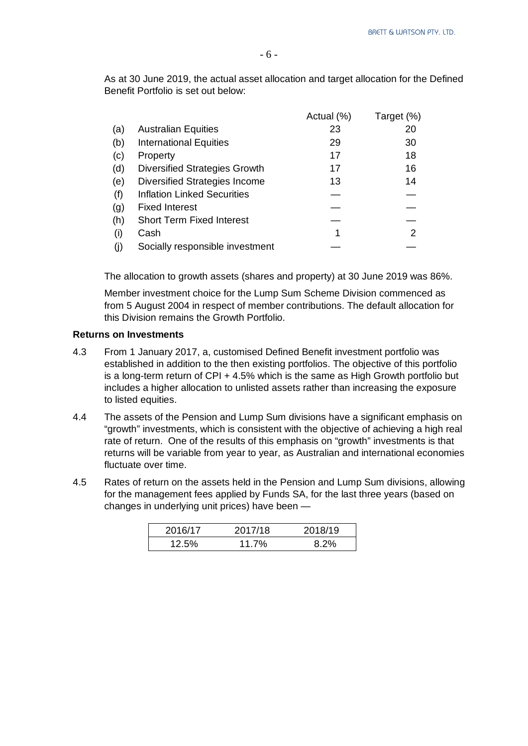As at 30 June 2019, the actual asset allocation and target allocation for the Defined Benefit Portfolio is set out below:

|     |                                      | Actual (%) | Target (%) |
|-----|--------------------------------------|------------|------------|
| (a) | <b>Australian Equities</b>           | 23         | 20         |
| (b) | <b>International Equities</b>        | 29         | 30         |
| (c) | Property                             | 17         | 18         |
| (d) | <b>Diversified Strategies Growth</b> | 17         | 16         |
| (e) | Diversified Strategies Income        | 13         | 14         |
| (f) | <b>Inflation Linked Securities</b>   |            |            |
| (g) | <b>Fixed Interest</b>                |            |            |
| (h) | <b>Short Term Fixed Interest</b>     |            |            |
| (i) | Cash                                 | 1          | 2          |
| (j) | Socially responsible investment      |            |            |

The allocation to growth assets (shares and property) at 30 June 2019 was 86%.

Member investment choice for the Lump Sum Scheme Division commenced as from 5 August 2004 in respect of member contributions. The default allocation for this Division remains the Growth Portfolio.

#### **Returns on Investments**

- 4.3 From 1 January 2017, a, customised Defined Benefit investment portfolio was established in addition to the then existing portfolios. The objective of this portfolio is a long-term return of CPI + 4.5% which is the same as High Growth portfolio but includes a higher allocation to unlisted assets rather than increasing the exposure to listed equities.
- 4.4 The assets of the Pension and Lump Sum divisions have a significant emphasis on "growth" investments, which is consistent with the objective of achieving a high real rate of return. One of the results of this emphasis on "growth" investments is that returns will be variable from year to year, as Australian and international economies fluctuate over time.
- 4.5 Rates of return on the assets held in the Pension and Lump Sum divisions, allowing for the management fees applied by Funds SA, for the last three years (based on changes in underlying unit prices) have been —

| 2016/17 | 2017/18 | 2018/19 |
|---------|---------|---------|
| 12.5%   | 11.7%   | 8.2%    |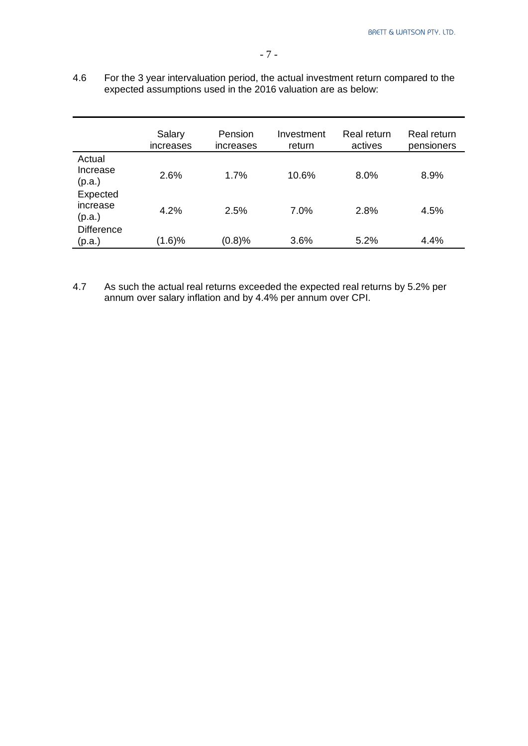4.6 For the 3 year intervaluation period, the actual investment return compared to the expected assumptions used in the 2016 valuation are as below:

|                                | Salary<br>increases | Pension<br>increases | Investment<br>return | Real return<br>actives | Real return<br>pensioners |
|--------------------------------|---------------------|----------------------|----------------------|------------------------|---------------------------|
| Actual<br>Increase<br>(p.a.)   | 2.6%                | 1.7%                 | 10.6%                | 8.0%                   | 8.9%                      |
| Expected<br>increase<br>(p.a.) | 4.2%                | 2.5%                 | 7.0%                 | 2.8%                   | 4.5%                      |
| <b>Difference</b><br>(p.a.)    | (1.6)%              | (0.8)%               | 3.6%                 | 5.2%                   | 4.4%                      |

4.7 As such the actual real returns exceeded the expected real returns by 5.2% per annum over salary inflation and by 4.4% per annum over CPI.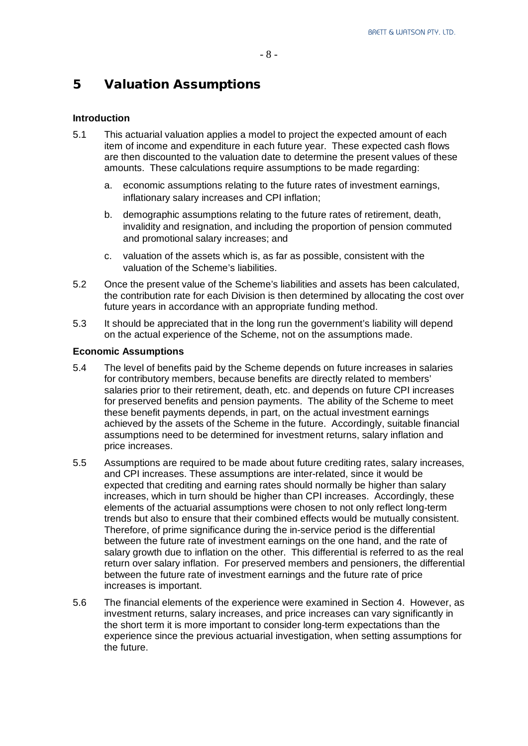# 5 Valuation Assumptions

#### **Introduction**

- 5.1 This actuarial valuation applies a model to project the expected amount of each item of income and expenditure in each future year. These expected cash flows are then discounted to the valuation date to determine the present values of these amounts. These calculations require assumptions to be made regarding:
	- a. economic assumptions relating to the future rates of investment earnings, inflationary salary increases and CPI inflation;
	- b. demographic assumptions relating to the future rates of retirement, death, invalidity and resignation, and including the proportion of pension commuted and promotional salary increases; and
	- c. valuation of the assets which is, as far as possible, consistent with the valuation of the Scheme's liabilities.
- 5.2 Once the present value of the Scheme's liabilities and assets has been calculated, the contribution rate for each Division is then determined by allocating the cost over future years in accordance with an appropriate funding method.
- 5.3 It should be appreciated that in the long run the government's liability will depend on the actual experience of the Scheme, not on the assumptions made.

#### **Economic Assumptions**

- 5.4 The level of benefits paid by the Scheme depends on future increases in salaries for contributory members, because benefits are directly related to members' salaries prior to their retirement, death, etc. and depends on future CPI increases for preserved benefits and pension payments. The ability of the Scheme to meet these benefit payments depends, in part, on the actual investment earnings achieved by the assets of the Scheme in the future. Accordingly, suitable financial assumptions need to be determined for investment returns, salary inflation and price increases.
- 5.5 Assumptions are required to be made about future crediting rates, salary increases, and CPI increases. These assumptions are inter-related, since it would be expected that crediting and earning rates should normally be higher than salary increases, which in turn should be higher than CPI increases. Accordingly, these elements of the actuarial assumptions were chosen to not only reflect long-term trends but also to ensure that their combined effects would be mutually consistent. Therefore, of prime significance during the in-service period is the differential between the future rate of investment earnings on the one hand, and the rate of salary growth due to inflation on the other. This differential is referred to as the real return over salary inflation. For preserved members and pensioners, the differential between the future rate of investment earnings and the future rate of price increases is important.
- 5.6 The financial elements of the experience were examined in Section 4. However, as investment returns, salary increases, and price increases can vary significantly in the short term it is more important to consider long-term expectations than the experience since the previous actuarial investigation, when setting assumptions for the future.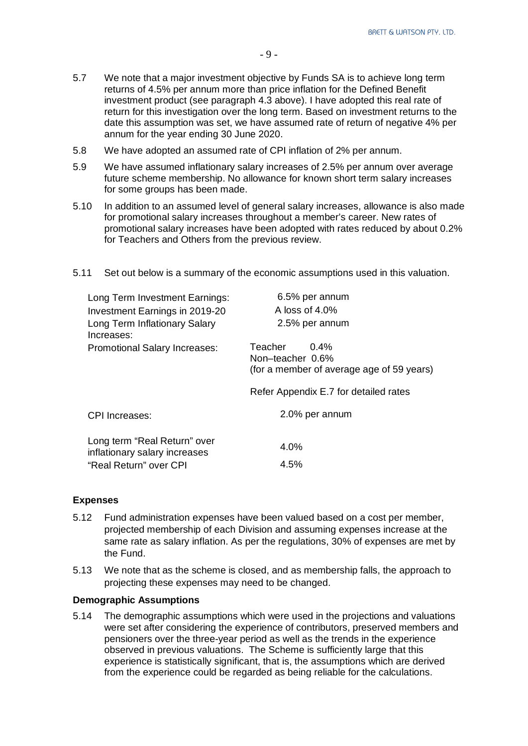- 5.7 We note that a major investment objective by Funds SA is to achieve long term returns of 4.5% per annum more than price inflation for the Defined Benefit investment product (see paragraph 4.3 above). I have adopted this real rate of return for this investigation over the long term. Based on investment returns to the date this assumption was set, we have assumed rate of return of negative 4% per annum for the year ending 30 June 2020.
- 5.8 We have adopted an assumed rate of CPI inflation of 2% per annum.
- 5.9 We have assumed inflationary salary increases of 2.5% per annum over average future scheme membership. No allowance for known short term salary increases for some groups has been made.
- 5.10 In addition to an assumed level of general salary increases, allowance is also made for promotional salary increases throughout a member's career. New rates of promotional salary increases have been adopted with rates reduced by about 0.2% for Teachers and Others from the previous review.

| Long Term Investment Earnings:<br>Investment Earnings in 2019-20<br>Long Term Inflationary Salary<br>Increases: | 6.5% per annum<br>A loss of $4.0\%$<br>2.5% per annum                               |
|-----------------------------------------------------------------------------------------------------------------|-------------------------------------------------------------------------------------|
| <b>Promotional Salary Increases:</b>                                                                            | Teacher<br>$0.4\%$<br>Non-teacher 0.6%<br>(for a member of average age of 59 years) |
|                                                                                                                 | Refer Appendix E.7 for detailed rates                                               |
| <b>CPI</b> Increases:                                                                                           | 2.0% per annum                                                                      |
| Long term "Real Return" over<br>inflationary salary increases<br>"Real Return" over CPI                         | 4.0%<br>4.5%                                                                        |

5.11 Set out below is a summary of the economic assumptions used in this valuation.

#### **Expenses**

- 5.12 Fund administration expenses have been valued based on a cost per member, projected membership of each Division and assuming expenses increase at the same rate as salary inflation. As per the regulations, 30% of expenses are met by the Fund.
- 5.13 We note that as the scheme is closed, and as membership falls, the approach to projecting these expenses may need to be changed.

#### **Demographic Assumptions**

5.14 The demographic assumptions which were used in the projections and valuations were set after considering the experience of contributors, preserved members and pensioners over the three-year period as well as the trends in the experience observed in previous valuations. The Scheme is sufficiently large that this experience is statistically significant, that is, the assumptions which are derived from the experience could be regarded as being reliable for the calculations.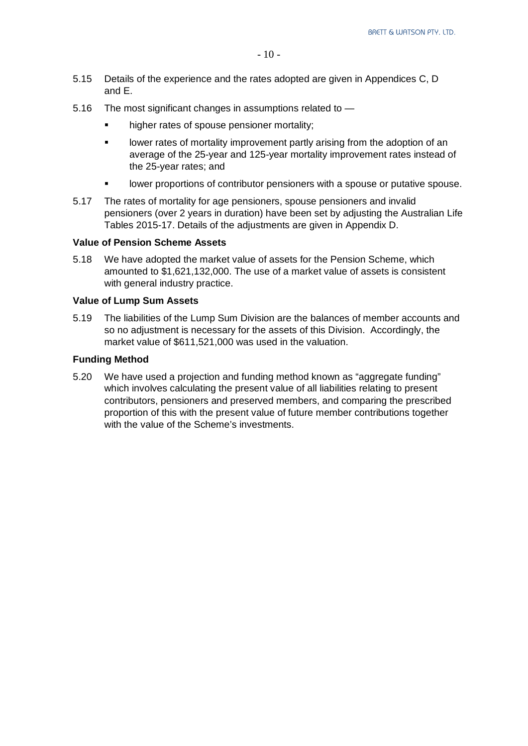- 5.15 Details of the experience and the rates adopted are given in Appendices C, D and E.
- 5.16 The most significant changes in assumptions related to
	- higher rates of spouse pensioner mortality;
	- **IDED** I lower rates of mortality improvement partly arising from the adoption of an average of the 25-year and 125-year mortality improvement rates instead of the 25-year rates; and
	- lower proportions of contributor pensioners with a spouse or putative spouse.
- 5.17 The rates of mortality for age pensioners, spouse pensioners and invalid pensioners (over 2 years in duration) have been set by adjusting the Australian Life Tables 2015-17. Details of the adjustments are given in Appendix D.

#### **Value of Pension Scheme Assets**

5.18 We have adopted the market value of assets for the Pension Scheme, which amounted to \$1,621,132,000. The use of a market value of assets is consistent with general industry practice.

#### **Value of Lump Sum Assets**

5.19 The liabilities of the Lump Sum Division are the balances of member accounts and so no adjustment is necessary for the assets of this Division. Accordingly, the market value of \$611,521,000 was used in the valuation.

#### **Funding Method**

5.20 We have used a projection and funding method known as "aggregate funding" which involves calculating the present value of all liabilities relating to present contributors, pensioners and preserved members, and comparing the prescribed proportion of this with the present value of future member contributions together with the value of the Scheme's investments.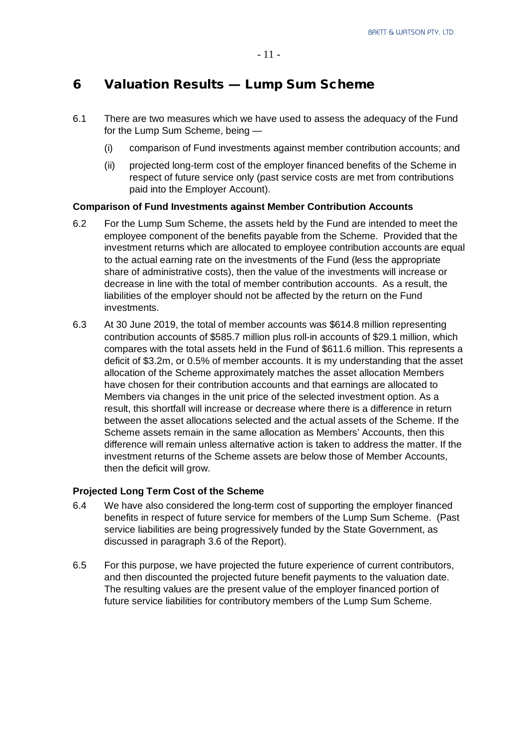# 6 Valuation Results — Lump Sum Scheme

- 6.1 There are two measures which we have used to assess the adequacy of the Fund for the Lump Sum Scheme, being —
	- (i) comparison of Fund investments against member contribution accounts; and
	- (ii) projected long-term cost of the employer financed benefits of the Scheme in respect of future service only (past service costs are met from contributions paid into the Employer Account).

#### **Comparison of Fund Investments against Member Contribution Accounts**

- 6.2 For the Lump Sum Scheme, the assets held by the Fund are intended to meet the employee component of the benefits payable from the Scheme. Provided that the investment returns which are allocated to employee contribution accounts are equal to the actual earning rate on the investments of the Fund (less the appropriate share of administrative costs), then the value of the investments will increase or decrease in line with the total of member contribution accounts. As a result, the liabilities of the employer should not be affected by the return on the Fund investments.
- 6.3 At 30 June 2019, the total of member accounts was \$614.8 million representing contribution accounts of \$585.7 million plus roll-in accounts of \$29.1 million, which compares with the total assets held in the Fund of \$611.6 million. This represents a deficit of \$3.2m, or 0.5% of member accounts. It is my understanding that the asset allocation of the Scheme approximately matches the asset allocation Members have chosen for their contribution accounts and that earnings are allocated to Members via changes in the unit price of the selected investment option. As a result, this shortfall will increase or decrease where there is a difference in return between the asset allocations selected and the actual assets of the Scheme. If the Scheme assets remain in the same allocation as Members' Accounts, then this difference will remain unless alternative action is taken to address the matter. If the investment returns of the Scheme assets are below those of Member Accounts, then the deficit will grow.

#### **Projected Long Term Cost of the Scheme**

- 6.4 We have also considered the long-term cost of supporting the employer financed benefits in respect of future service for members of the Lump Sum Scheme. (Past service liabilities are being progressively funded by the State Government, as discussed in paragraph 3.6 of the Report).
- 6.5 For this purpose, we have projected the future experience of current contributors, and then discounted the projected future benefit payments to the valuation date. The resulting values are the present value of the employer financed portion of future service liabilities for contributory members of the Lump Sum Scheme.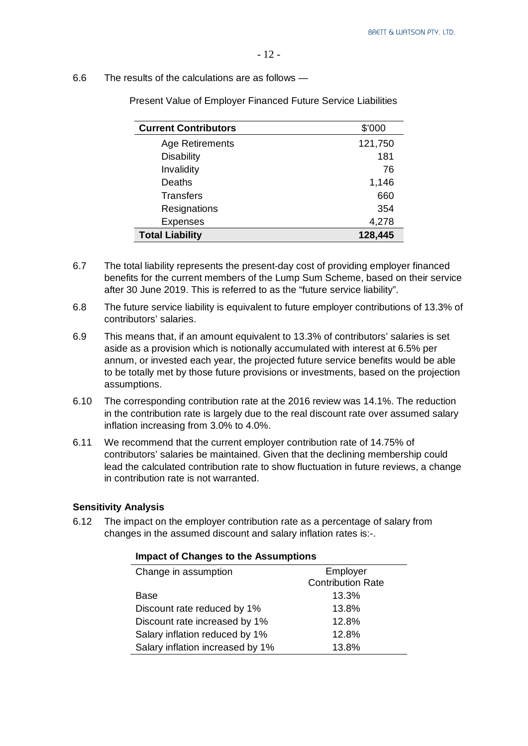#### 6.6 The results of the calculations are as follows —

|  |  | <b>Present Value of Employer Financed Future Service Liabilities</b> |  |  |
|--|--|----------------------------------------------------------------------|--|--|
|--|--|----------------------------------------------------------------------|--|--|

| <b>Current Contributors</b> | \$'000  |
|-----------------------------|---------|
| Age Retirements             | 121,750 |
| <b>Disability</b>           | 181     |
| Invalidity                  | 76      |
| Deaths                      | 1,146   |
| <b>Transfers</b>            | 660     |
| Resignations                | 354     |
| <b>Expenses</b>             | 4,278   |
| <b>Total Liability</b>      | 128,445 |

- 6.7 The total liability represents the present-day cost of providing employer financed benefits for the current members of the Lump Sum Scheme, based on their service after 30 June 2019. This is referred to as the "future service liability".
- 6.8 The future service liability is equivalent to future employer contributions of 13.3% of contributors' salaries.
- 6.9 This means that, if an amount equivalent to 13.3% of contributors' salaries is set aside as a provision which is notionally accumulated with interest at 6.5% per annum, or invested each year, the projected future service benefits would be able to be totally met by those future provisions or investments, based on the projection assumptions.
- 6.10 The corresponding contribution rate at the 2016 review was 14.1%. The reduction in the contribution rate is largely due to the real discount rate over assumed salary inflation increasing from 3.0% to 4.0%.
- 6.11 We recommend that the current employer contribution rate of 14.75% of contributors' salaries be maintained. Given that the declining membership could lead the calculated contribution rate to show fluctuation in future reviews, a change in contribution rate is not warranted.

#### **Sensitivity Analysis**

6.12 The impact on the employer contribution rate as a percentage of salary from changes in the assumed discount and salary inflation rates is:-.

| m                                |                          |
|----------------------------------|--------------------------|
| Change in assumption             | Employer                 |
|                                  | <b>Contribution Rate</b> |
| <b>Base</b>                      | 13.3%                    |
| Discount rate reduced by 1%      | 13.8%                    |
| Discount rate increased by 1%    | 12.8%                    |
| Salary inflation reduced by 1%   | 12.8%                    |
| Salary inflation increased by 1% | 13.8%                    |
|                                  |                          |

#### **Impact of Changes to the Assumptions**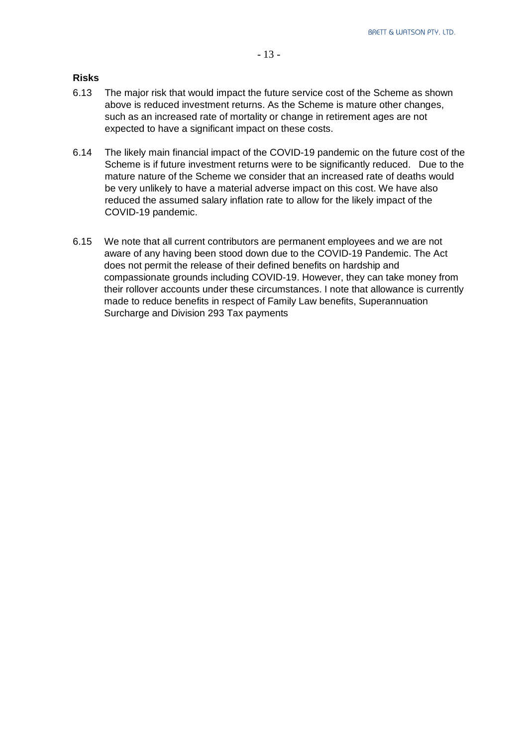#### **Risks**

- 6.13 The major risk that would impact the future service cost of the Scheme as shown above is reduced investment returns. As the Scheme is mature other changes, such as an increased rate of mortality or change in retirement ages are not expected to have a significant impact on these costs.
- 6.14 The likely main financial impact of the COVID-19 pandemic on the future cost of the Scheme is if future investment returns were to be significantly reduced. Due to the mature nature of the Scheme we consider that an increased rate of deaths would be very unlikely to have a material adverse impact on this cost. We have also reduced the assumed salary inflation rate to allow for the likely impact of the COVID-19 pandemic.
- 6.15 We note that all current contributors are permanent employees and we are not aware of any having been stood down due to the COVID-19 Pandemic. The Act does not permit the release of their defined benefits on hardship and compassionate grounds including COVID-19. However, they can take money from their rollover accounts under these circumstances. I note that allowance is currently made to reduce benefits in respect of Family Law benefits, Superannuation Surcharge and Division 293 Tax payments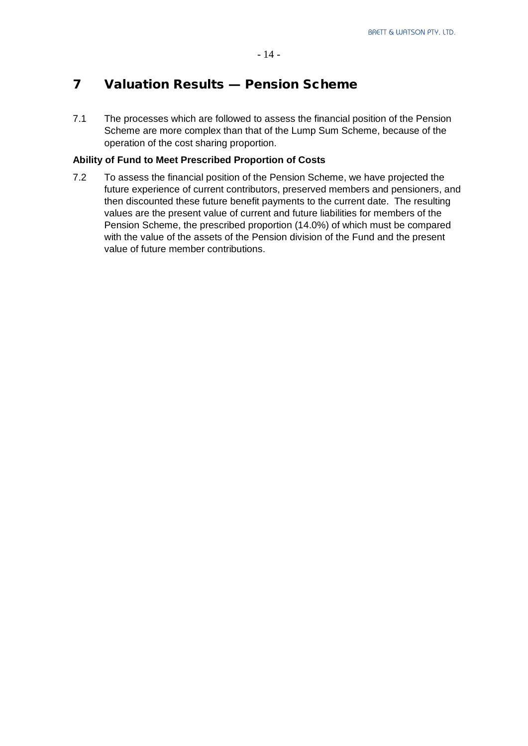# 7 Valuation Results — Pension Scheme

7.1 The processes which are followed to assess the financial position of the Pension Scheme are more complex than that of the Lump Sum Scheme, because of the operation of the cost sharing proportion.

#### **Ability of Fund to Meet Prescribed Proportion of Costs**

7.2 To assess the financial position of the Pension Scheme, we have projected the future experience of current contributors, preserved members and pensioners, and then discounted these future benefit payments to the current date. The resulting values are the present value of current and future liabilities for members of the Pension Scheme, the prescribed proportion (14.0%) of which must be compared with the value of the assets of the Pension division of the Fund and the present value of future member contributions.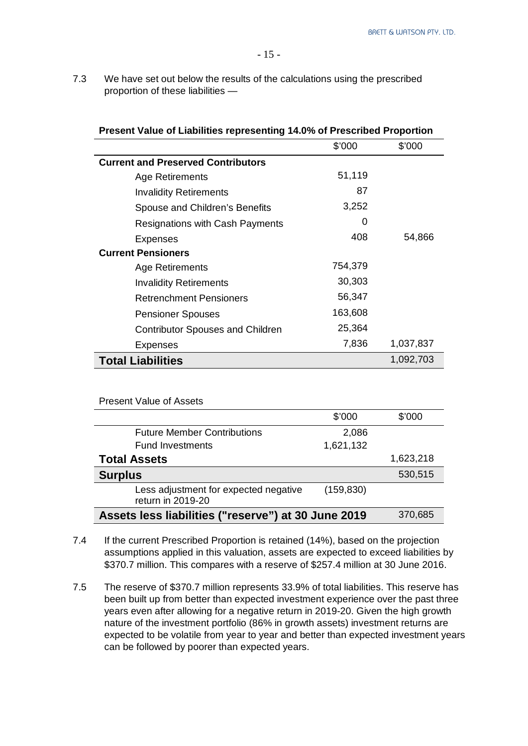**Present Value of Liabilities representing 14.0% of Prescribed Proportion**

7.3 We have set out below the results of the calculations using the prescribed proportion of these liabilities —

|                                           | \$'000  | \$'000    |
|-------------------------------------------|---------|-----------|
| <b>Current and Preserved Contributors</b> |         |           |
| Age Retirements                           | 51,119  |           |
| <b>Invalidity Retirements</b>             | 87      |           |
| Spouse and Children's Benefits            | 3,252   |           |
| <b>Resignations with Cash Payments</b>    | 0       |           |
| <b>Expenses</b>                           | 408     | 54,866    |
| <b>Current Pensioners</b>                 |         |           |
| Age Retirements                           | 754,379 |           |
| <b>Invalidity Retirements</b>             | 30,303  |           |
| <b>Retrenchment Pensioners</b>            | 56,347  |           |
| <b>Pensioner Spouses</b>                  | 163,608 |           |
| <b>Contributor Spouses and Children</b>   | 25,364  |           |
| Expenses                                  | 7,836   | 1,037,837 |
| <b>Total Liabilities</b>                  |         | 1,092,703 |

| <b>Present Value of Assets</b>                             |            |           |
|------------------------------------------------------------|------------|-----------|
|                                                            | \$'000     | \$'000    |
| <b>Future Member Contributions</b>                         | 2,086      |           |
| <b>Fund Investments</b>                                    | 1,621,132  |           |
| <b>Total Assets</b>                                        |            | 1,623,218 |
| <b>Surplus</b>                                             |            | 530,515   |
| Less adjustment for expected negative<br>return in 2019-20 | (159, 830) |           |
| Assets less liabilities ("reserve") at 30 June 2019        |            | 370,685   |

- 7.4 If the current Prescribed Proportion is retained (14%), based on the projection assumptions applied in this valuation, assets are expected to exceed liabilities by \$370.7 million. This compares with a reserve of \$257.4 million at 30 June 2016.
- 7.5 The reserve of \$370.7 million represents 33.9% of total liabilities. This reserve has been built up from better than expected investment experience over the past three years even after allowing for a negative return in 2019-20. Given the high growth nature of the investment portfolio (86% in growth assets) investment returns are expected to be volatile from year to year and better than expected investment years can be followed by poorer than expected years.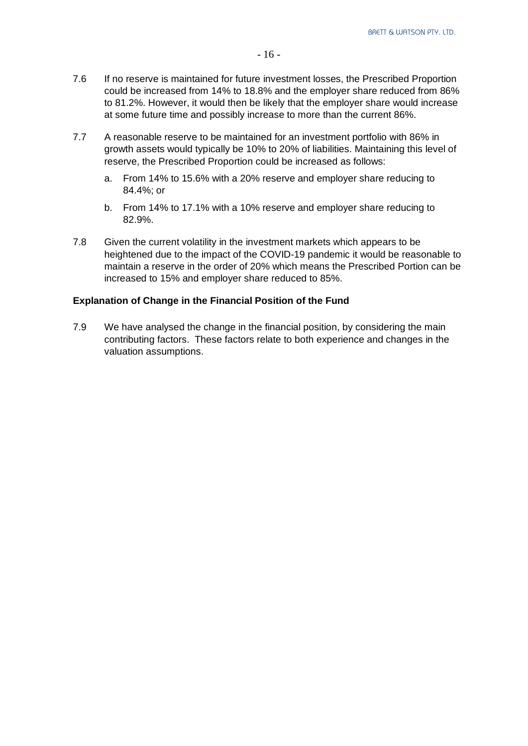- 7.6 If no reserve is maintained for future investment losses, the Prescribed Proportion could be increased from 14% to 18.8% and the employer share reduced from 86% to 81.2%. However, it would then be likely that the employer share would increase at some future time and possibly increase to more than the current 86%.
- 7.7 A reasonable reserve to be maintained for an investment portfolio with 86% in growth assets would typically be 10% to 20% of liabilities. Maintaining this level of reserve, the Prescribed Proportion could be increased as follows:
	- a. From 14% to 15.6% with a 20% reserve and employer share reducing to 84.4%; or
	- b. From 14% to 17.1% with a 10% reserve and employer share reducing to 82.9%.
- 7.8 Given the current volatility in the investment markets which appears to be heightened due to the impact of the COVID-19 pandemic it would be reasonable to maintain a reserve in the order of 20% which means the Prescribed Portion can be increased to 15% and employer share reduced to 85%.

#### **Explanation of Change in the Financial Position of the Fund**

7.9 We have analysed the change in the financial position, by considering the main contributing factors. These factors relate to both experience and changes in the valuation assumptions.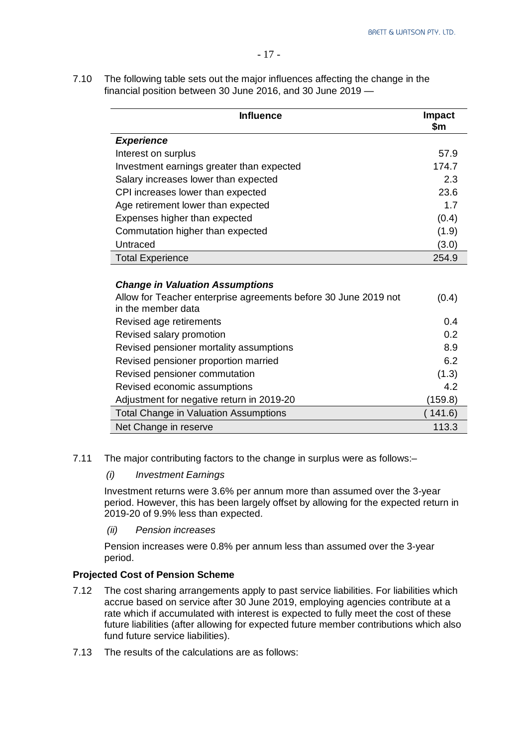7.10 The following table sets out the major influences affecting the change in the financial position between 30 June 2016, and 30 June 2019 —

| <b>Influence</b>                                                                      | <b>Impact</b><br>\$m |
|---------------------------------------------------------------------------------------|----------------------|
| <b>Experience</b>                                                                     |                      |
| Interest on surplus                                                                   | 57.9                 |
| Investment earnings greater than expected                                             | 174.7                |
| Salary increases lower than expected                                                  | 2.3                  |
| CPI increases lower than expected                                                     | 23.6                 |
| Age retirement lower than expected                                                    | 1.7                  |
| Expenses higher than expected                                                         | (0.4)                |
| Commutation higher than expected                                                      | (1.9)                |
| Untraced                                                                              | (3.0)                |
| <b>Total Experience</b>                                                               | 254.9                |
| <b>Change in Valuation Assumptions</b>                                                |                      |
| Allow for Teacher enterprise agreements before 30 June 2019 not<br>in the member data | (0.4)                |
| Revised age retirements                                                               | 0.4                  |
| Revised salary promotion                                                              | 0.2                  |
| Revised pensioner mortality assumptions                                               | 8.9                  |
| Revised pensioner proportion married                                                  | 6.2                  |
| Revised pensioner commutation                                                         | (1.3)                |
| Revised economic assumptions                                                          | 4.2                  |
| Adjustment for negative return in 2019-20                                             | (159.8)              |
| <b>Total Change in Valuation Assumptions</b>                                          | 141.6)               |
| Net Change in reserve                                                                 | 113.3                |

7.11 The major contributing factors to the change in surplus were as follows:–

#### *(i) Investment Earnings*

Investment returns were 3.6% per annum more than assumed over the 3-year period. However, this has been largely offset by allowing for the expected return in 2019-20 of 9.9% less than expected.

*(ii) Pension increases*

Pension increases were 0.8% per annum less than assumed over the 3-year period.

#### **Projected Cost of Pension Scheme**

- 7.12 The cost sharing arrangements apply to past service liabilities. For liabilities which accrue based on service after 30 June 2019, employing agencies contribute at a rate which if accumulated with interest is expected to fully meet the cost of these future liabilities (after allowing for expected future member contributions which also fund future service liabilities).
- 7.13 The results of the calculations are as follows: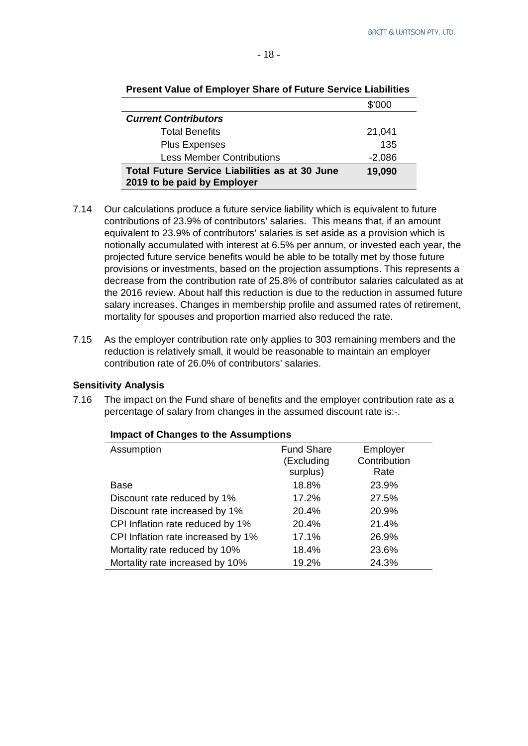|                                                                                      | \$'000   |
|--------------------------------------------------------------------------------------|----------|
| <b>Current Contributors</b>                                                          |          |
| <b>Total Benefits</b>                                                                | 21,041   |
| <b>Plus Expenses</b>                                                                 | 135      |
| <b>Less Member Contributions</b>                                                     | $-2,086$ |
| <b>Total Future Service Liabilities as at 30 June</b><br>2019 to be paid by Employer | 19,090   |

#### **Present Value of Employer Share of Future Service Liabilities**

- 7.14 Our calculations produce a future service liability which is equivalent to future contributions of 23.9% of contributors' salaries. This means that, if an amount equivalent to 23.9% of contributors' salaries is set aside as a provision which is notionally accumulated with interest at 6.5% per annum, or invested each year, the projected future service benefits would be able to be totally met by those future provisions or investments, based on the projection assumptions. This represents a decrease from the contribution rate of 25.8% of contributor salaries calculated as at the 2016 review. About half this reduction is due to the reduction in assumed future salary increases. Changes in membership profile and assumed rates of retirement, mortality for spouses and proportion married also reduced the rate.
- 7.15 As the employer contribution rate only applies to 303 remaining members and the reduction is relatively small, it would be reasonable to maintain an employer contribution rate of 26.0% of contributors' salaries.

#### **Sensitivity Analysis**

7.16 The impact on the Fund share of benefits and the employer contribution rate as a percentage of salary from changes in the assumed discount rate is:-.

| Assumption                         | <b>Fund Share</b><br>(Excluding | Employer<br>Contribution |
|------------------------------------|---------------------------------|--------------------------|
|                                    | surplus)                        | Rate                     |
| Base                               | 18.8%                           | 23.9%                    |
| Discount rate reduced by 1%        | 17.2%                           | 27.5%                    |
| Discount rate increased by 1%      | 20.4%                           | 20.9%                    |
| CPI Inflation rate reduced by 1%   | 20.4%                           | 21.4%                    |
| CPI Inflation rate increased by 1% | 17.1%                           | 26.9%                    |
| Mortality rate reduced by 10%      | 18.4%                           | 23.6%                    |
| Mortality rate increased by 10%    | 19.2%                           | 24.3%                    |

#### **Impact of Changes to the Assumptions**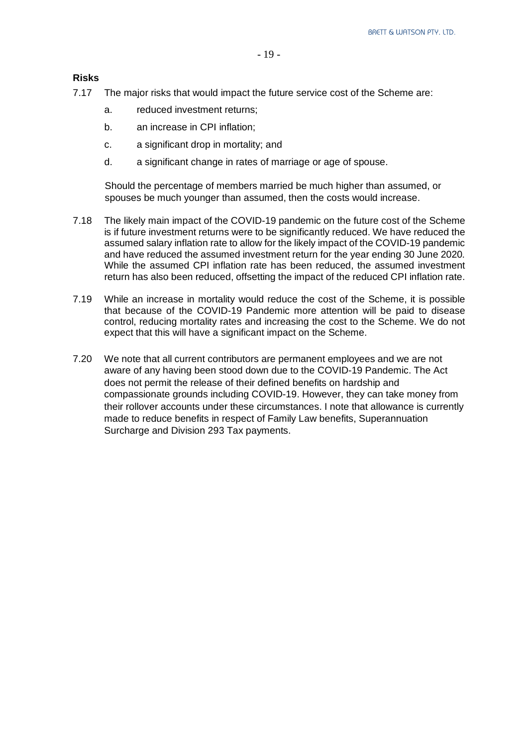**Risks**

- 7.17 The major risks that would impact the future service cost of the Scheme are:
	- a. reduced investment returns;
	- b. an increase in CPI inflation;
	- c. a significant drop in mortality; and
	- d. a significant change in rates of marriage or age of spouse.

Should the percentage of members married be much higher than assumed, or spouses be much younger than assumed, then the costs would increase.

- 7.18 The likely main impact of the COVID-19 pandemic on the future cost of the Scheme is if future investment returns were to be significantly reduced. We have reduced the assumed salary inflation rate to allow for the likely impact of the COVID-19 pandemic and have reduced the assumed investment return for the year ending 30 June 2020. While the assumed CPI inflation rate has been reduced, the assumed investment return has also been reduced, offsetting the impact of the reduced CPI inflation rate.
- 7.19 While an increase in mortality would reduce the cost of the Scheme, it is possible that because of the COVID-19 Pandemic more attention will be paid to disease control, reducing mortality rates and increasing the cost to the Scheme. We do not expect that this will have a significant impact on the Scheme.
- 7.20 We note that all current contributors are permanent employees and we are not aware of any having been stood down due to the COVID-19 Pandemic. The Act does not permit the release of their defined benefits on hardship and compassionate grounds including COVID-19. However, they can take money from their rollover accounts under these circumstances. I note that allowance is currently made to reduce benefits in respect of Family Law benefits, Superannuation Surcharge and Division 293 Tax payments.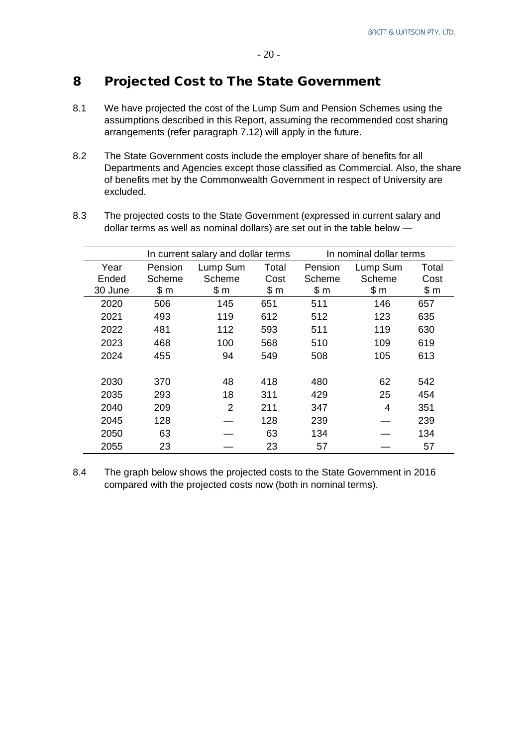#### - 20 -

# 8 Projected Cost to The State Government

- 8.1 We have projected the cost of the Lump Sum and Pension Schemes using the assumptions described in this Report, assuming the recommended cost sharing arrangements (refer paragraph 7.12) will apply in the future.
- 8.2 The State Government costs include the employer share of benefits for all Departments and Agencies except those classified as Commercial. Also, the share of benefits met by the Commonwealth Government in respect of University are excluded.

|         |         | In current salary and dollar terms |       |         | In nominal dollar terms |       |  |
|---------|---------|------------------------------------|-------|---------|-------------------------|-------|--|
| Year    | Pension | Lump Sum                           | Total | Pension | Lump Sum                | Total |  |
| Ended   | Scheme  | Scheme                             | Cost  | Scheme  | Scheme                  | Cost  |  |
| 30 June | \$m     | \$m                                | \$m   | \$m     | \$m                     | \$m   |  |
| 2020    | 506     | 145                                | 651   | 511     | 146                     | 657   |  |
| 2021    | 493     | 119                                | 612   | 512     | 123                     | 635   |  |
| 2022    | 481     | 112                                | 593   | 511     | 119                     | 630   |  |
| 2023    | 468     | 100                                | 568   | 510     | 109                     | 619   |  |
| 2024    | 455     | 94                                 | 549   | 508     | 105                     | 613   |  |
|         |         |                                    |       |         |                         |       |  |
| 2030    | 370     | 48                                 | 418   | 480     | 62                      | 542   |  |
| 2035    | 293     | 18                                 | 311   | 429     | 25                      | 454   |  |
| 2040    | 209     | 2                                  | 211   | 347     | 4                       | 351   |  |
| 2045    | 128     |                                    | 128   | 239     |                         | 239   |  |
| 2050    | 63      |                                    | 63    | 134     |                         | 134   |  |

8.3 The projected costs to the State Government (expressed in current salary and dollar terms as well as nominal dollars) are set out in the table below —

8.4 The graph below shows the projected costs to the State Government in 2016 compared with the projected costs now (both in nominal terms).

2055 23 — 23 57 — 57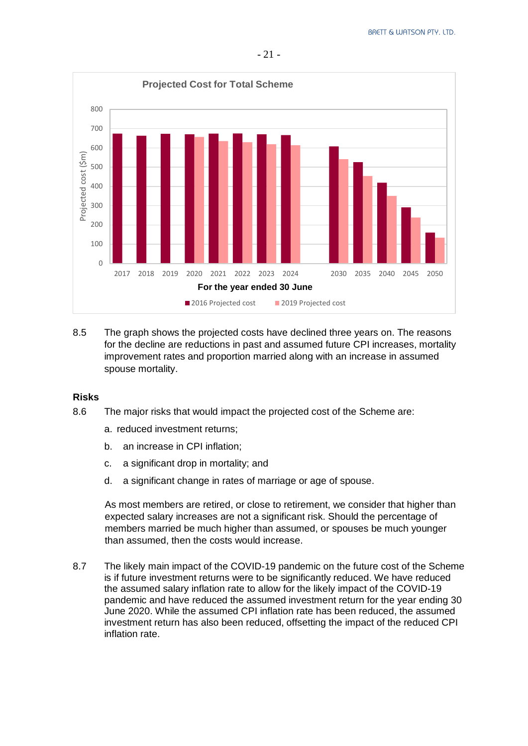

8.5 The graph shows the projected costs have declined three years on. The reasons for the decline are reductions in past and assumed future CPI increases, mortality improvement rates and proportion married along with an increase in assumed spouse mortality.

#### **Risks**

- 8.6 The major risks that would impact the projected cost of the Scheme are:
	- a. reduced investment returns;
	- b. an increase in CPI inflation;
	- c. a significant drop in mortality; and
	- d. a significant change in rates of marriage or age of spouse.

As most members are retired, or close to retirement, we consider that higher than expected salary increases are not a significant risk. Should the percentage of members married be much higher than assumed, or spouses be much younger than assumed, then the costs would increase.

8.7 The likely main impact of the COVID-19 pandemic on the future cost of the Scheme is if future investment returns were to be significantly reduced. We have reduced the assumed salary inflation rate to allow for the likely impact of the COVID-19 pandemic and have reduced the assumed investment return for the year ending 30 June 2020. While the assumed CPI inflation rate has been reduced, the assumed investment return has also been reduced, offsetting the impact of the reduced CPI inflation rate.

- 21 -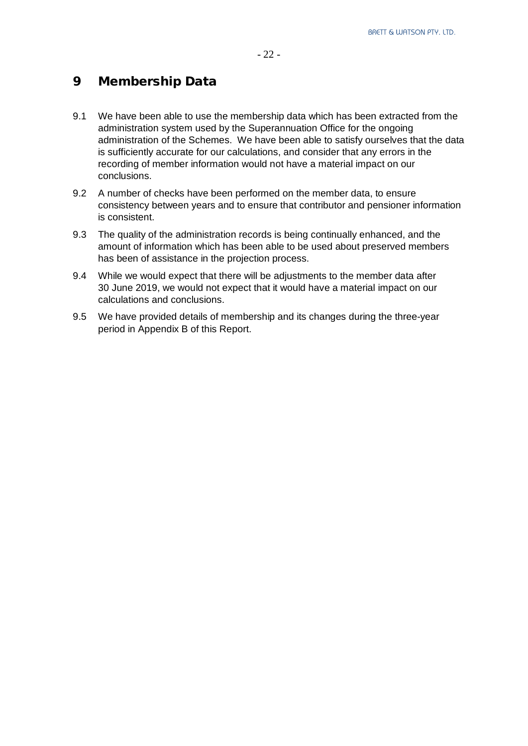# 9 Membership Data

- 9.1 We have been able to use the membership data which has been extracted from the administration system used by the Superannuation Office for the ongoing administration of the Schemes. We have been able to satisfy ourselves that the data is sufficiently accurate for our calculations, and consider that any errors in the recording of member information would not have a material impact on our conclusions.
- 9.2 A number of checks have been performed on the member data, to ensure consistency between years and to ensure that contributor and pensioner information is consistent.
- 9.3 The quality of the administration records is being continually enhanced, and the amount of information which has been able to be used about preserved members has been of assistance in the projection process.
- 9.4 While we would expect that there will be adjustments to the member data after 30 June 2019, we would not expect that it would have a material impact on our calculations and conclusions.
- 9.5 We have provided details of membership and its changes during the three-year period in Appendix B of this Report.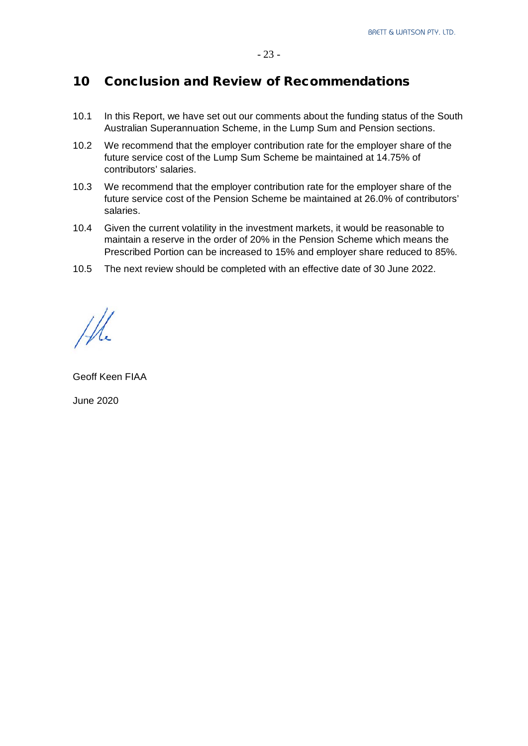## 10 Conclusion and Review of Recommendations

- 10.1 In this Report, we have set out our comments about the funding status of the South Australian Superannuation Scheme, in the Lump Sum and Pension sections.
- 10.2 We recommend that the employer contribution rate for the employer share of the future service cost of the Lump Sum Scheme be maintained at 14.75% of contributors' salaries.
- 10.3 We recommend that the employer contribution rate for the employer share of the future service cost of the Pension Scheme be maintained at 26.0% of contributors' salaries.
- 10.4 Given the current volatility in the investment markets, it would be reasonable to maintain a reserve in the order of 20% in the Pension Scheme which means the Prescribed Portion can be increased to 15% and employer share reduced to 85%.
- 10.5 The next review should be completed with an effective date of 30 June 2022.

Geoff Keen FIAA

June 2020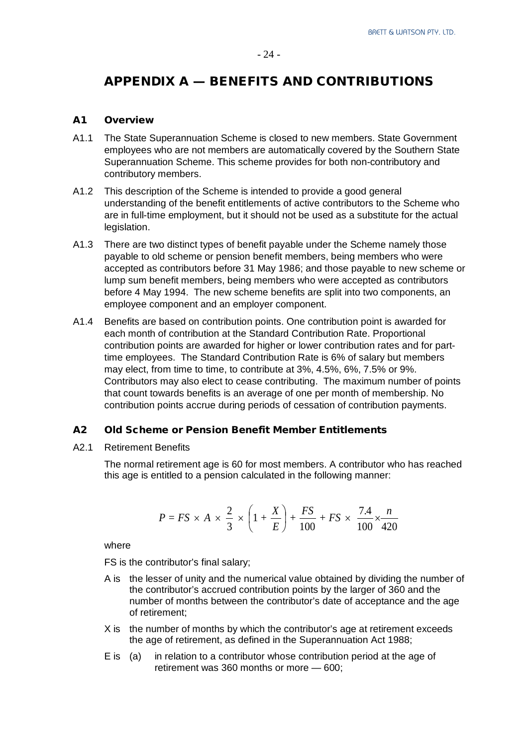# APPENDIX A — BENEFITS AND CONTRIBUTIONS

#### A1 Overview

- A1.1 The State Superannuation Scheme is closed to new members. State Government employees who are not members are automatically covered by the Southern State Superannuation Scheme. This scheme provides for both non-contributory and contributory members.
- A1.2 This description of the Scheme is intended to provide a good general understanding of the benefit entitlements of active contributors to the Scheme who are in full-time employment, but it should not be used as a substitute for the actual legislation.
- A1.3 There are two distinct types of benefit payable under the Scheme namely those payable to old scheme or pension benefit members, being members who were accepted as contributors before 31 May 1986; and those payable to new scheme or lump sum benefit members, being members who were accepted as contributors before 4 May 1994. The new scheme benefits are split into two components, an employee component and an employer component.
- A1.4 Benefits are based on contribution points. One contribution point is awarded for each month of contribution at the Standard Contribution Rate. Proportional contribution points are awarded for higher or lower contribution rates and for parttime employees. The Standard Contribution Rate is 6% of salary but members may elect, from time to time, to contribute at 3%, 4.5%, 6%, 7.5% or 9%. Contributors may also elect to cease contributing. The maximum number of points that count towards benefits is an average of one per month of membership. No contribution points accrue during periods of cessation of contribution payments.

#### A2 Old Scheme or Pension Benefit Member Entitlements

A2.1 Retirement Benefits

The normal retirement age is 60 for most members. A contributor who has reached this age is entitled to a pension calculated in the following manner:

$$
P = FS \times A \times \frac{2}{3} \times \left(1 + \frac{X}{E}\right) + \frac{FS}{100} + FS \times \frac{7.4}{100} \times \frac{n}{420}
$$

where

FS is the contributor's final salary;

- A is the lesser of unity and the numerical value obtained by dividing the number of the contributor's accrued contribution points by the larger of 360 and the number of months between the contributor's date of acceptance and the age of retirement;
- X is the number of months by which the contributor's age at retirement exceeds the age of retirement, as defined in the Superannuation Act 1988;
- E is (a) in relation to a contributor whose contribution period at the age of retirement was 360 months or more — 600;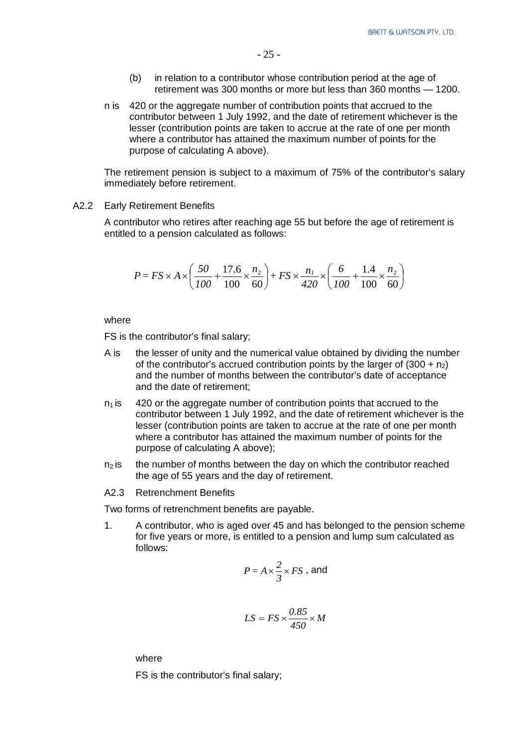- (b) in relation to a contributor whose contribution period at the age of retirement was 300 months or more but less than 360 months — 1200.
- n is 420 or the aggregate number of contribution points that accrued to the contributor between 1 July 1992, and the date of retirement whichever is the lesser (contribution points are taken to accrue at the rate of one per month where a contributor has attained the maximum number of points for the purpose of calculating A above).

The retirement pension is subject to a maximum of 75% of the contributor's salary immediately before retirement.

A2.2 Early Retirement Benefits

A contributor who retires after reaching age 55 but before the age of retirement is entitled to a pension calculated as follows:

$$
P = FS \times A \times \left(\frac{50}{100} + \frac{17.6}{100} \times \frac{n_2}{60}\right) + FS \times \frac{n_1}{420} \times \left(\frac{6}{100} + \frac{1.4}{100} \times \frac{n_2}{60}\right)
$$

where

FS is the contributor's final salary;

- A is the lesser of unity and the numerical value obtained by dividing the number of the contributor's accrued contribution points by the larger of  $(300 + n<sub>2</sub>)$ and the number of months between the contributor's date of acceptance and the date of retirement;
- $n_1$  is 420 or the aggregate number of contribution points that accrued to the contributor between 1 July 1992, and the date of retirement whichever is the lesser (contribution points are taken to accrue at the rate of one per month where a contributor has attained the maximum number of points for the purpose of calculating A above);
- $n<sub>2</sub>$  is the number of months between the day on which the contributor reached the age of 55 years and the day of retirement.

A2.3 Retrenchment Benefits

Two forms of retrenchment benefits are payable.

1. A contributor, who is aged over 45 and has belonged to the pension scheme for five years or more, is entitled to a pension and lump sum calculated as follows:

$$
P = A \times \frac{2}{3} \times FS
$$
, and

$$
LS = FS \times \frac{0.85}{450} \times M
$$

where

FS is the contributor's final salary;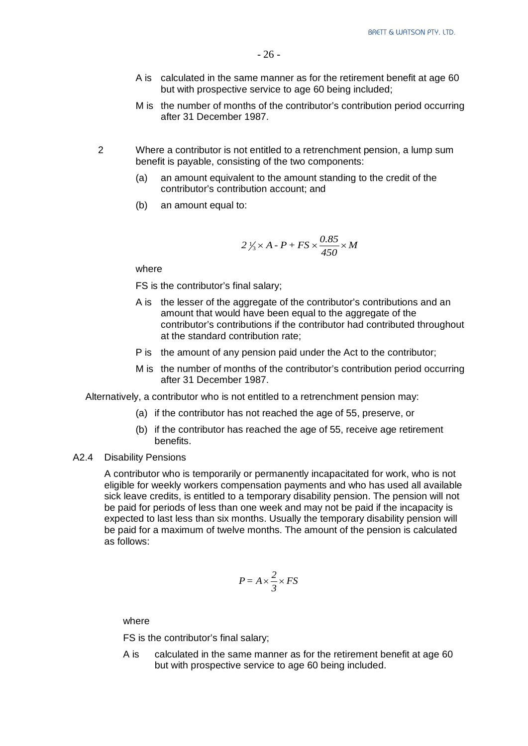- A is calculated in the same manner as for the retirement benefit at age 60 but with prospective service to age 60 being included;
- M is the number of months of the contributor's contribution period occurring after 31 December 1987.
- 2 Where a contributor is not entitled to a retrenchment pension, a lump sum benefit is payable, consisting of the two components:
	- (a) an amount equivalent to the amount standing to the credit of the contributor's contribution account; and
	- (b) an amount equal to:

$$
2\frac{1}{3} \times A - P + FS \times \frac{0.85}{450} \times M
$$

where

FS is the contributor's final salary;

- A is the lesser of the aggregate of the contributor's contributions and an amount that would have been equal to the aggregate of the contributor's contributions if the contributor had contributed throughout at the standard contribution rate;
- P is the amount of any pension paid under the Act to the contributor;
- M is the number of months of the contributor's contribution period occurring after 31 December 1987.

Alternatively, a contributor who is not entitled to a retrenchment pension may:

- (a) if the contributor has not reached the age of 55, preserve, or
- (b) if the contributor has reached the age of 55, receive age retirement benefits.

#### A2.4 Disability Pensions

A contributor who is temporarily or permanently incapacitated for work, who is not eligible for weekly workers compensation payments and who has used all available sick leave credits, is entitled to a temporary disability pension. The pension will not be paid for periods of less than one week and may not be paid if the incapacity is expected to last less than six months. Usually the temporary disability pension will be paid for a maximum of twelve months. The amount of the pension is calculated as follows:

$$
P = A \times \frac{2}{3} \times FS
$$

where

FS is the contributor's final salary;

A is calculated in the same manner as for the retirement benefit at age 60 but with prospective service to age 60 being included.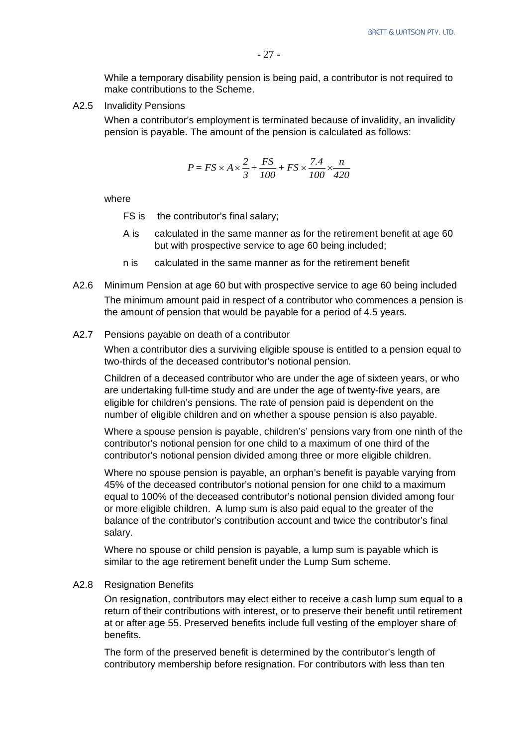While a temporary disability pension is being paid, a contributor is not required to make contributions to the Scheme.

A2.5 Invalidity Pensions

When a contributor's employment is terminated because of invalidity, an invalidity pension is payable. The amount of the pension is calculated as follows:

$$
P = FS \times A \times \frac{2}{3} + \frac{FS}{100} + FS \times \frac{7.4}{100} \times \frac{n}{420}
$$

where

- FS is the contributor's final salary;
- A is calculated in the same manner as for the retirement benefit at age 60 but with prospective service to age 60 being included;
- n is calculated in the same manner as for the retirement benefit
- A2.6 Minimum Pension at age 60 but with prospective service to age 60 being included The minimum amount paid in respect of a contributor who commences a pension is the amount of pension that would be payable for a period of 4.5 years.
- A2.7 Pensions payable on death of a contributor

When a contributor dies a surviving eligible spouse is entitled to a pension equal to two-thirds of the deceased contributor's notional pension.

Children of a deceased contributor who are under the age of sixteen years, or who are undertaking full-time study and are under the age of twenty-five years, are eligible for children's pensions. The rate of pension paid is dependent on the number of eligible children and on whether a spouse pension is also payable.

Where a spouse pension is payable, children's' pensions vary from one ninth of the contributor's notional pension for one child to a maximum of one third of the contributor's notional pension divided among three or more eligible children.

Where no spouse pension is payable, an orphan's benefit is payable varying from 45% of the deceased contributor's notional pension for one child to a maximum equal to 100% of the deceased contributor's notional pension divided among four or more eligible children. A lump sum is also paid equal to the greater of the balance of the contributor's contribution account and twice the contributor's final salary.

Where no spouse or child pension is payable, a lump sum is payable which is similar to the age retirement benefit under the Lump Sum scheme.

#### A2.8 Resignation Benefits

On resignation, contributors may elect either to receive a cash lump sum equal to a return of their contributions with interest, or to preserve their benefit until retirement at or after age 55. Preserved benefits include full vesting of the employer share of benefits.

The form of the preserved benefit is determined by the contributor's length of contributory membership before resignation. For contributors with less than ten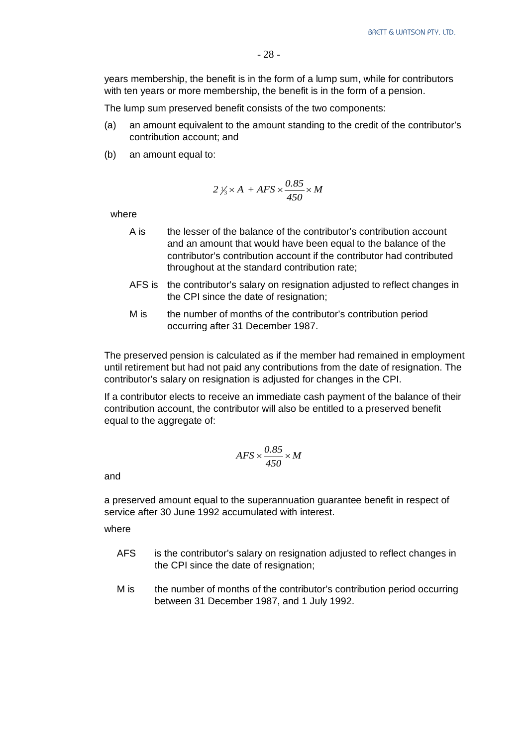years membership, the benefit is in the form of a lump sum, while for contributors with ten years or more membership, the benefit is in the form of a pension.

The lump sum preserved benefit consists of the two components:

- (a) an amount equivalent to the amount standing to the credit of the contributor's contribution account; and
- (b) an amount equal to:

$$
2\frac{1}{3} \times A + AFS \times \frac{0.85}{450} \times M
$$

where

- A is the lesser of the balance of the contributor's contribution account and an amount that would have been equal to the balance of the contributor's contribution account if the contributor had contributed throughout at the standard contribution rate;
- AFS is the contributor's salary on resignation adjusted to reflect changes in the CPI since the date of resignation;
- M is the number of months of the contributor's contribution period occurring after 31 December 1987.

The preserved pension is calculated as if the member had remained in employment until retirement but had not paid any contributions from the date of resignation. The contributor's salary on resignation is adjusted for changes in the CPI.

If a contributor elects to receive an immediate cash payment of the balance of their contribution account, the contributor will also be entitled to a preserved benefit equal to the aggregate of:

$$
AFS \times \frac{0.85}{450} \times M
$$

and

a preserved amount equal to the superannuation guarantee benefit in respect of service after 30 June 1992 accumulated with interest.

where

- AFS is the contributor's salary on resignation adjusted to reflect changes in the CPI since the date of resignation;
- M is the number of months of the contributor's contribution period occurring between 31 December 1987, and 1 July 1992.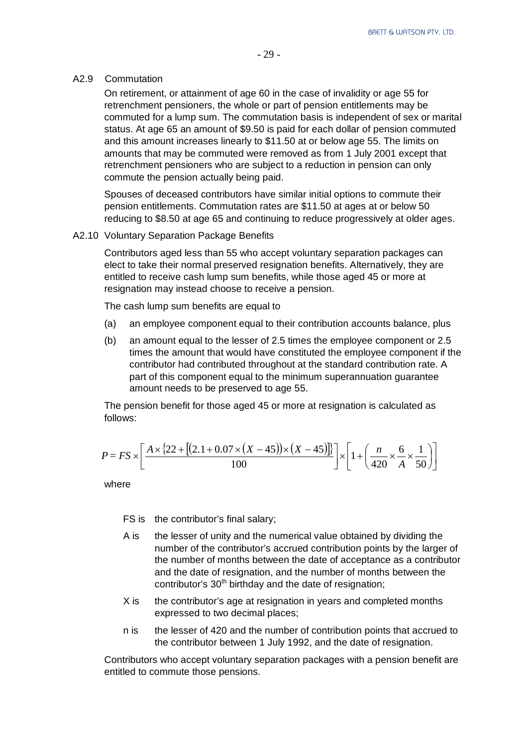#### A2.9 Commutation

On retirement, or attainment of age 60 in the case of invalidity or age 55 for retrenchment pensioners, the whole or part of pension entitlements may be commuted for a lump sum. The commutation basis is independent of sex or marital status. At age 65 an amount of \$9.50 is paid for each dollar of pension commuted and this amount increases linearly to \$11.50 at or below age 55. The limits on amounts that may be commuted were removed as from 1 July 2001 except that retrenchment pensioners who are subject to a reduction in pension can only commute the pension actually being paid.

Spouses of deceased contributors have similar initial options to commute their pension entitlements. Commutation rates are \$11.50 at ages at or below 50 reducing to \$8.50 at age 65 and continuing to reduce progressively at older ages.

#### A2.10 Voluntary Separation Package Benefits

Contributors aged less than 55 who accept voluntary separation packages can elect to take their normal preserved resignation benefits. Alternatively, they are entitled to receive cash lump sum benefits, while those aged 45 or more at resignation may instead choose to receive a pension.

The cash lump sum benefits are equal to

- (a) an employee component equal to their contribution accounts balance, plus
- (b) an amount equal to the lesser of 2.5 times the employee component or 2.5 times the amount that would have constituted the employee component if the contributor had contributed throughout at the standard contribution rate. A part of this component equal to the minimum superannuation guarantee amount needs to be preserved to age 55.

The pension benefit for those aged 45 or more at resignation is calculated as follows:

$$
P = FS \times \left[ \frac{A \times \{22 + [(2.1 + 0.07 \times (X - 45)) \times (X - 45)]\}}{100} \right] \times \left[ 1 + \left( \frac{n}{420} \times \frac{6}{A} \times \frac{1}{50} \right) \right]
$$

where

FS is the contributor's final salary;

- A is the lesser of unity and the numerical value obtained by dividing the number of the contributor's accrued contribution points by the larger of the number of months between the date of acceptance as a contributor and the date of resignation, and the number of months between the contributor's 30<sup>th</sup> birthday and the date of resignation;
- X is the contributor's age at resignation in years and completed months expressed to two decimal places;
- n is the lesser of 420 and the number of contribution points that accrued to the contributor between 1 July 1992, and the date of resignation.

Contributors who accept voluntary separation packages with a pension benefit are entitled to commute those pensions.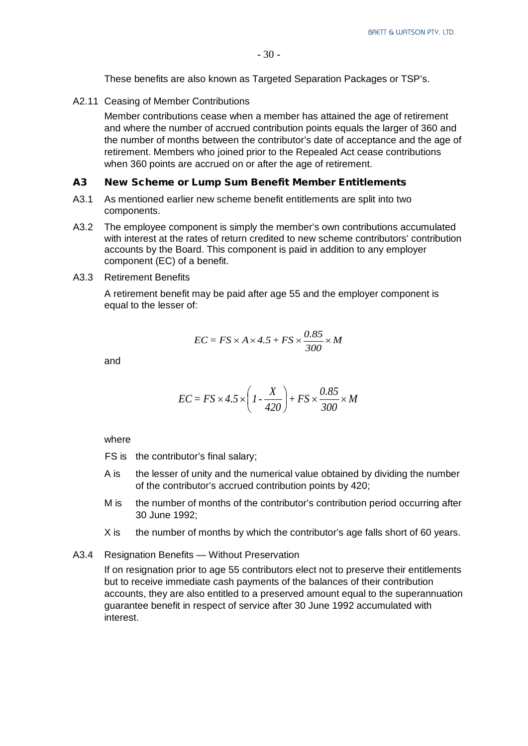These benefits are also known as Targeted Separation Packages or TSP's.

A2.11 Ceasing of Member Contributions

Member contributions cease when a member has attained the age of retirement and where the number of accrued contribution points equals the larger of 360 and the number of months between the contributor's date of acceptance and the age of retirement. Members who joined prior to the Repealed Act cease contributions when 360 points are accrued on or after the age of retirement.

#### A3 New Scheme or Lump Sum Benefit Member Entitlements

- A3.1 As mentioned earlier new scheme benefit entitlements are split into two components.
- A3.2 The employee component is simply the member's own contributions accumulated with interest at the rates of return credited to new scheme contributors' contribution accounts by the Board. This component is paid in addition to any employer component (EC) of a benefit.
- A3.3 Retirement Benefits

A retirement benefit may be paid after age 55 and the employer component is equal to the lesser of:

$$
EC = FS \times A \times 4.5 + FS \times \frac{0.85}{300} \times M
$$

and

$$
EC = FS \times 4.5 \times \left(1 - \frac{X}{420}\right) + FS \times \frac{0.85}{300} \times M
$$

where

- FS is the contributor's final salary;
- A is the lesser of unity and the numerical value obtained by dividing the number of the contributor's accrued contribution points by 420;
- M is the number of months of the contributor's contribution period occurring after 30 June 1992;
- X is the number of months by which the contributor's age falls short of 60 years.
- A3.4 Resignation Benefits Without Preservation

If on resignation prior to age 55 contributors elect not to preserve their entitlements but to receive immediate cash payments of the balances of their contribution accounts, they are also entitled to a preserved amount equal to the superannuation guarantee benefit in respect of service after 30 June 1992 accumulated with interest.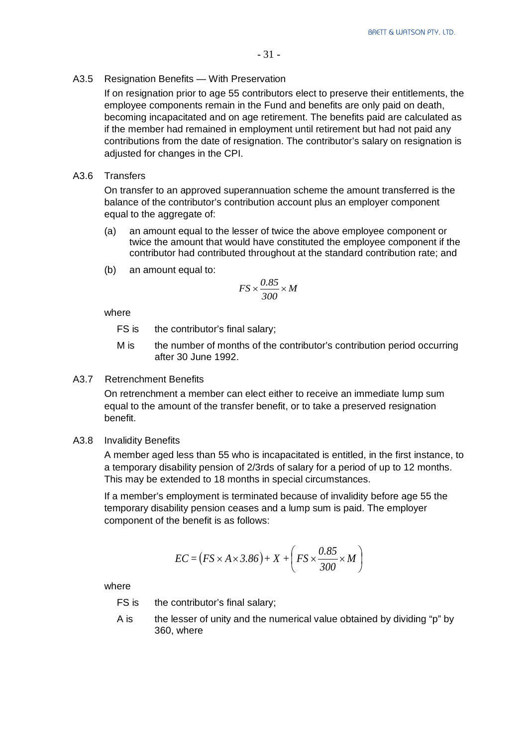#### A3.5 Resignation Benefits — With Preservation

If on resignation prior to age 55 contributors elect to preserve their entitlements, the employee components remain in the Fund and benefits are only paid on death, becoming incapacitated and on age retirement. The benefits paid are calculated as if the member had remained in employment until retirement but had not paid any contributions from the date of resignation. The contributor's salary on resignation is adjusted for changes in the CPI.

#### A3.6 Transfers

On transfer to an approved superannuation scheme the amount transferred is the balance of the contributor's contribution account plus an employer component equal to the aggregate of:

- (a) an amount equal to the lesser of twice the above employee component or twice the amount that would have constituted the employee component if the contributor had contributed throughout at the standard contribution rate; and
- (b) an amount equal to:

$$
FS \times \frac{0.85}{300} \times M
$$

where

- FS is the contributor's final salary;
- M is the number of months of the contributor's contribution period occurring after 30 June 1992.

#### A3.7 Retrenchment Benefits

On retrenchment a member can elect either to receive an immediate lump sum equal to the amount of the transfer benefit, or to take a preserved resignation benefit.

A3.8 Invalidity Benefits

A member aged less than 55 who is incapacitated is entitled, in the first instance, to a temporary disability pension of 2/3rds of salary for a period of up to 12 months. This may be extended to 18 months in special circumstances.

If a member's employment is terminated because of invalidity before age 55 the temporary disability pension ceases and a lump sum is paid. The employer component of the benefit is as follows:

$$
EC = (FS \times A \times 3.86) + X + \left( FS \times \frac{0.85}{300} \times M \right)
$$

where

FS is the contributor's final salary;

A is the lesser of unity and the numerical value obtained by dividing "p" by 360, where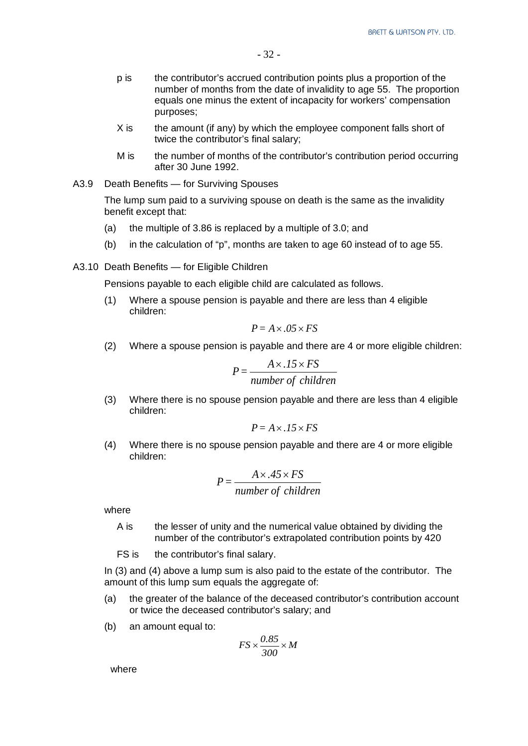- p is the contributor's accrued contribution points plus a proportion of the number of months from the date of invalidity to age 55. The proportion equals one minus the extent of incapacity for workers' compensation purposes;
- X is the amount (if any) by which the employee component falls short of twice the contributor's final salary;
- M is the number of months of the contributor's contribution period occurring after 30 June 1992.

#### A3.9 Death Benefits — for Surviving Spouses

The lump sum paid to a surviving spouse on death is the same as the invalidity benefit except that:

- (a) the multiple of 3.86 is replaced by a multiple of 3.0; and
- (b) in the calculation of "p", months are taken to age 60 instead of to age 55.
- A3.10 Death Benefits for Eligible Children

Pensions payable to each eligible child are calculated as follows.

(1) Where a spouse pension is payable and there are less than 4 eligible children:

$$
P = A \times .05 \times FS
$$

(2) Where a spouse pension is payable and there are 4 or more eligible children:

$$
P = \frac{A \times .15 \times FS}{number\ of\ children}
$$

(3) Where there is no spouse pension payable and there are less than 4 eligible children:

$$
P = A \times .15 \times FS
$$

(4) Where there is no spouse pension payable and there are 4 or more eligible children:

$$
P = \frac{A \times .45 \times FS}{number\ of\ children}
$$

where

- A is the lesser of unity and the numerical value obtained by dividing the number of the contributor's extrapolated contribution points by 420
- FS is the contributor's final salary.

In (3) and (4) above a lump sum is also paid to the estate of the contributor. The amount of this lump sum equals the aggregate of:

- (a) the greater of the balance of the deceased contributor's contribution account or twice the deceased contributor's salary; and
- (b) an amount equal to:

$$
FS \times \frac{0.85}{300} \times M
$$

where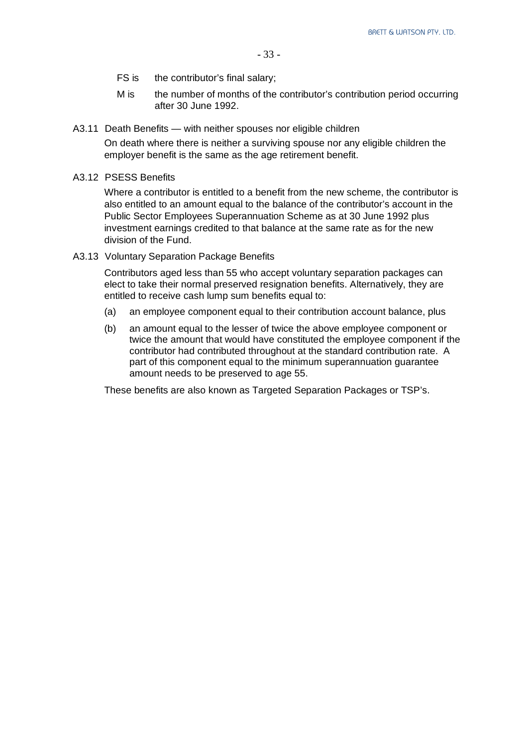- FS is the contributor's final salary:
- M is the number of months of the contributor's contribution period occurring after 30 June 1992.
- A3.11 Death Benefits with neither spouses nor eligible children

On death where there is neither a surviving spouse nor any eligible children the employer benefit is the same as the age retirement benefit.

A3.12 PSESS Benefits

Where a contributor is entitled to a benefit from the new scheme, the contributor is also entitled to an amount equal to the balance of the contributor's account in the Public Sector Employees Superannuation Scheme as at 30 June 1992 plus investment earnings credited to that balance at the same rate as for the new division of the Fund.

A3.13 Voluntary Separation Package Benefits

Contributors aged less than 55 who accept voluntary separation packages can elect to take their normal preserved resignation benefits. Alternatively, they are entitled to receive cash lump sum benefits equal to:

- (a) an employee component equal to their contribution account balance, plus
- (b) an amount equal to the lesser of twice the above employee component or twice the amount that would have constituted the employee component if the contributor had contributed throughout at the standard contribution rate. A part of this component equal to the minimum superannuation guarantee amount needs to be preserved to age 55.

These benefits are also known as Targeted Separation Packages or TSP's.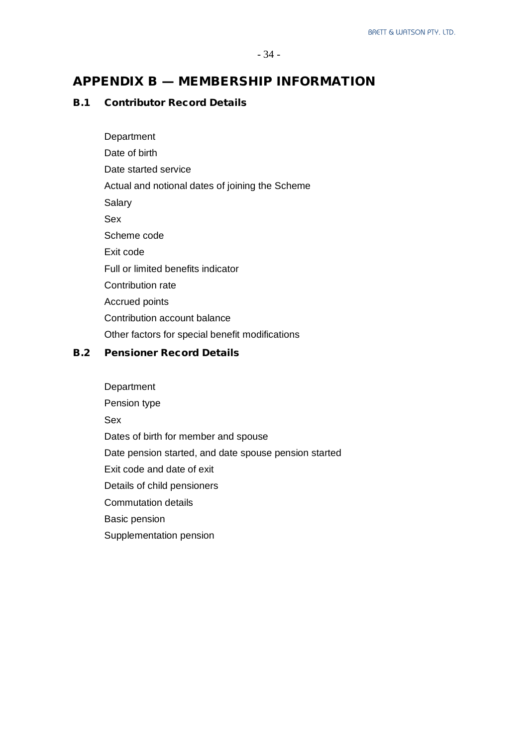### APPENDIX B — MEMBERSHIP INFORMATION

#### B.1 Contributor Record Details

**Department** Date of birth Date started service Actual and notional dates of joining the Scheme **Salary** Sex Scheme code Exit code Full or limited benefits indicator Contribution rate Accrued points Contribution account balance Other factors for special benefit modifications

#### B.2 Pensioner Record Details

**Department** Pension type Sex Dates of birth for member and spouse Date pension started, and date spouse pension started Exit code and date of exit Details of child pensioners Commutation details Basic pension Supplementation pension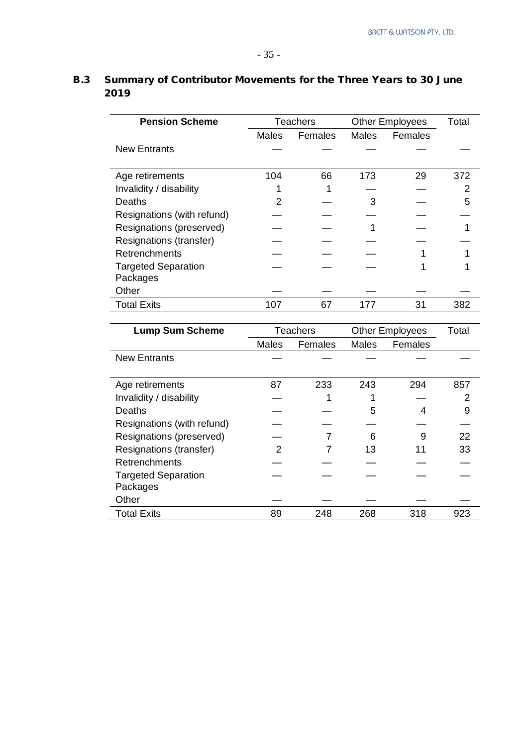| <b>Pension Scheme</b>      |       | <b>Teachers</b> |       | <b>Other Employees</b> | Total |
|----------------------------|-------|-----------------|-------|------------------------|-------|
|                            | Males | Females         | Males | Females                |       |
| <b>New Entrants</b>        |       |                 |       |                        |       |
|                            |       |                 |       |                        |       |
| Age retirements            | 104   | 66              | 173   | 29                     | 372   |
| Invalidity / disability    |       |                 |       |                        | 2     |
| Deaths                     | 2     |                 | 3     |                        | 5     |
| Resignations (with refund) |       |                 |       |                        |       |
| Resignations (preserved)   |       |                 |       |                        |       |
| Resignations (transfer)    |       |                 |       |                        |       |
| Retrenchments              |       |                 |       |                        |       |
| <b>Targeted Separation</b> |       |                 |       |                        |       |
| Packages                   |       |                 |       |                        |       |
| Other                      |       |                 |       |                        |       |
| <b>Total Exits</b>         | 107   | 67              | 177   | 31                     | 382   |

# B.3 Summary of Contributor Movements for the Three Years to 30 June 2019

| <b>Lump Sum Scheme</b>                 |       | <b>Teachers</b> | <b>Other Employees</b> |         | Total |
|----------------------------------------|-------|-----------------|------------------------|---------|-------|
|                                        | Males | Females         | Males                  | Females |       |
| <b>New Entrants</b>                    |       |                 |                        |         |       |
| Age retirements                        | 87    | 233             | 243                    | 294     | 857   |
| Invalidity / disability                |       |                 |                        |         | 2     |
| Deaths                                 |       |                 | 5                      | 4       | 9     |
| Resignations (with refund)             |       |                 |                        |         |       |
| Resignations (preserved)               |       |                 | 6                      | 9       | 22    |
| Resignations (transfer)                | 2     |                 | 13                     | 11      | 33    |
| Retrenchments                          |       |                 |                        |         |       |
| <b>Targeted Separation</b><br>Packages |       |                 |                        |         |       |
| Other                                  |       |                 |                        |         |       |
| <b>Total Exits</b>                     | 89    | 248             | 268                    | 318     | 923   |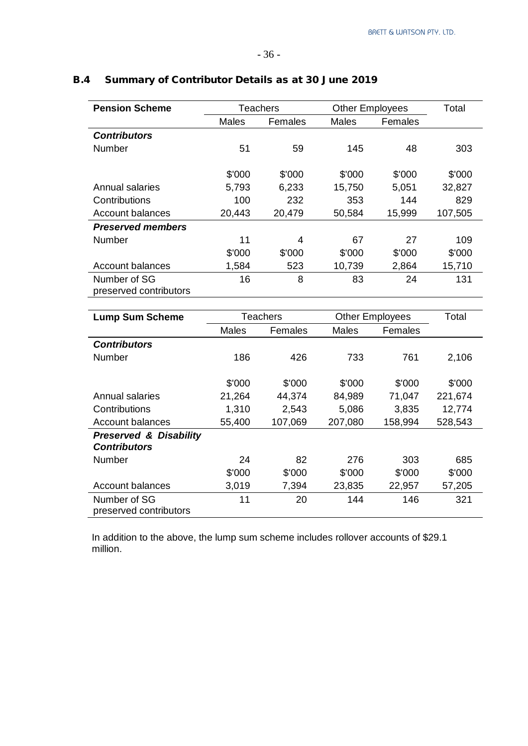| <b>Pension Scheme</b>    |        | <b>Teachers</b> | <b>Other Employees</b> | Total   |         |
|--------------------------|--------|-----------------|------------------------|---------|---------|
|                          | Males  | Females         | <b>Males</b>           | Females |         |
| <b>Contributors</b>      |        |                 |                        |         |         |
| <b>Number</b>            | 51     | 59              | 145                    | 48      | 303     |
|                          |        |                 |                        |         |         |
|                          | \$'000 | \$'000          | \$'000                 | \$'000  | \$'000  |
| Annual salaries          | 5,793  | 6,233           | 15,750                 | 5,051   | 32,827  |
| Contributions            | 100    | 232             | 353                    | 144     | 829     |
| Account balances         | 20,443 | 20,479          | 50,584                 | 15,999  | 107,505 |
| <b>Preserved members</b> |        |                 |                        |         |         |
| <b>Number</b>            | 11     | 4               | 67                     | 27      | 109     |
|                          | \$'000 | \$'000          | \$'000                 | \$'000  | \$'000  |
| Account balances         | 1,584  | 523             | 10,739                 | 2,864   | 15,710  |
| Number of SG             | 16     | 8               | 83                     | 24      | 131     |
| preserved contributors   |        |                 |                        |         |         |

## B.4 Summary of Contributor Details as at 30 June 2019

| <b>Lump Sum Scheme</b>            |        | Teachers | <b>Other Employees</b> |         | Total   |
|-----------------------------------|--------|----------|------------------------|---------|---------|
|                                   | Males  | Females  | Males                  | Females |         |
| <b>Contributors</b>               |        |          |                        |         |         |
| Number                            | 186    | 426      | 733                    | 761     | 2,106   |
|                                   |        |          |                        |         |         |
|                                   | \$'000 | \$'000   | \$'000                 | \$'000  | \$'000  |
| Annual salaries                   | 21,264 | 44,374   | 84,989                 | 71,047  | 221,674 |
| Contributions                     | 1,310  | 2,543    | 5,086                  | 3,835   | 12,774  |
| <b>Account balances</b>           | 55,400 | 107,069  | 207,080                | 158,994 | 528,543 |
| <b>Preserved &amp; Disability</b> |        |          |                        |         |         |
| <b>Contributors</b>               |        |          |                        |         |         |
| <b>Number</b>                     | 24     | 82       | 276                    | 303     | 685     |
|                                   | \$'000 | \$'000   | \$'000                 | \$'000  | \$'000  |
| <b>Account balances</b>           | 3,019  | 7,394    | 23,835                 | 22,957  | 57,205  |
| Number of SG                      | 11     | 20       | 144                    | 146     | 321     |
| preserved contributors            |        |          |                        |         |         |

In addition to the above, the lump sum scheme includes rollover accounts of \$29.1 million.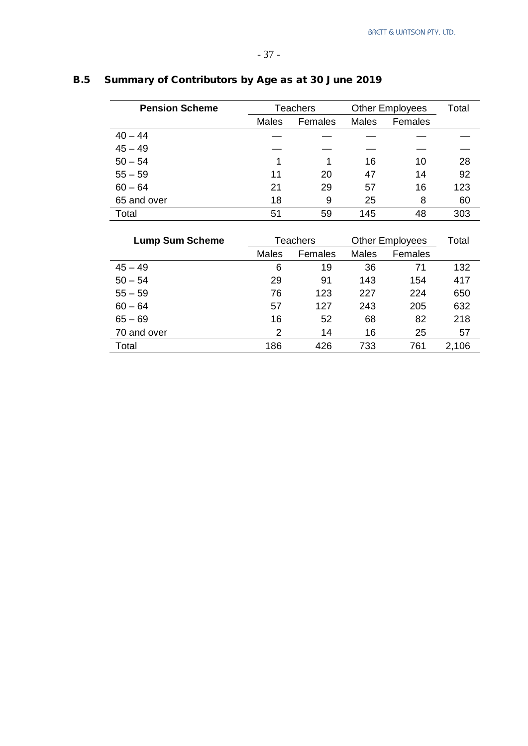| <b>Pension Scheme</b>  |              | <b>Teachers</b> | <b>Other Employees</b> |                        | Total |
|------------------------|--------------|-----------------|------------------------|------------------------|-------|
|                        | Males        | Females         | Males                  | Females                |       |
| $40 - 44$              |              |                 |                        |                        |       |
| $45 - 49$              |              |                 |                        |                        |       |
| $50 - 54$              | 1            | 1               | 16                     | 10                     | 28    |
| $55 - 59$              | 11           | 20              | 47                     | 14                     | 92    |
| $60 - 64$              | 21           | 29              | 57                     | 16                     | 123   |
| 65 and over            | 18           | 9               | 25                     | 8                      | 60    |
| Total                  | 51           | 59              | 145                    | 48                     | 303   |
|                        |              |                 |                        |                        |       |
| <b>Lump Sum Scheme</b> |              | <b>Teachers</b> |                        | <b>Other Employees</b> | Total |
|                        | <b>Males</b> | Females         | Males                  | Females                |       |
| $45 - 49$              | 6            | 19              | 36                     | 71                     | 132   |
| $50 - 54$              | 29           | 91              | 143                    | 154                    | 417   |
| $55 - 59$              | 76           | 123             | 227                    | 224                    | 650   |
| $60 - 64$              | 57           | 127             | 243                    | 205                    | 632   |
| $65 - 69$              | 16           | 52              | 68                     | 82                     | 218   |
| 70 and over            | 2            | 14              | 16                     | 25                     | 57    |

Total 186 426 733 761 2,106

## B.5 Summary of Contributors by Age as at 30 June 2019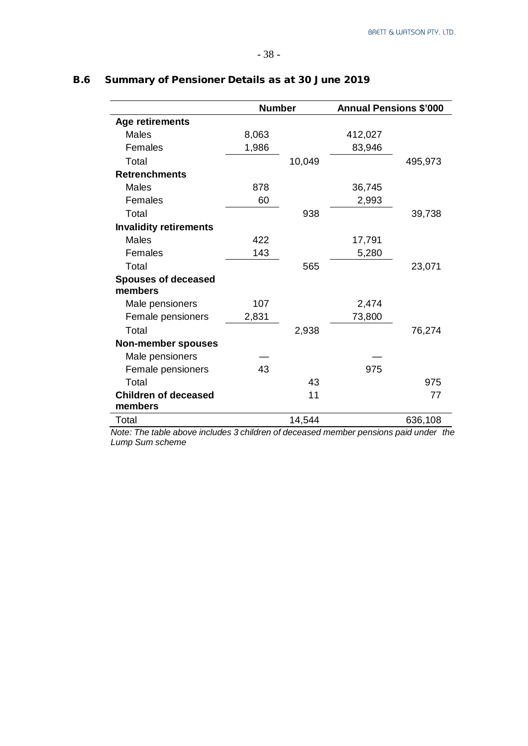|                                        | <b>Number</b> |        | <b>Annual Pensions \$'000</b> |         |  |
|----------------------------------------|---------------|--------|-------------------------------|---------|--|
| <b>Age retirements</b>                 |               |        |                               |         |  |
| <b>Males</b>                           | 8,063         |        | 412,027                       |         |  |
| Females                                | 1,986         |        | 83,946                        |         |  |
| Total                                  |               | 10,049 |                               | 495,973 |  |
| <b>Retrenchments</b>                   |               |        |                               |         |  |
| <b>Males</b>                           | 878           |        | 36,745                        |         |  |
| Females                                | 60            |        | 2,993                         |         |  |
| Total                                  |               | 938    |                               | 39,738  |  |
| <b>Invalidity retirements</b>          |               |        |                               |         |  |
| <b>Males</b>                           | 422           |        | 17,791                        |         |  |
| Females                                | 143           |        | 5,280                         |         |  |
| Total                                  |               | 565    |                               | 23,071  |  |
| <b>Spouses of deceased</b>             |               |        |                               |         |  |
| members                                |               |        |                               |         |  |
| Male pensioners                        | 107           |        | 2,474                         |         |  |
| Female pensioners                      | 2,831         |        | 73,800                        |         |  |
| Total                                  |               | 2,938  |                               | 76,274  |  |
| <b>Non-member spouses</b>              |               |        |                               |         |  |
| Male pensioners                        |               |        |                               |         |  |
| Female pensioners                      | 43            |        | 975                           |         |  |
| Total                                  |               | 43     |                               | 975     |  |
| <b>Children of deceased</b><br>members |               | 11     |                               | 77      |  |
| Total                                  |               | 14,544 |                               | 636,108 |  |

## B.6 Summary of Pensioner Details as at 30 June 2019

*Note: The table above includes 3 children of deceased member pensions paid under the Lump Sum scheme*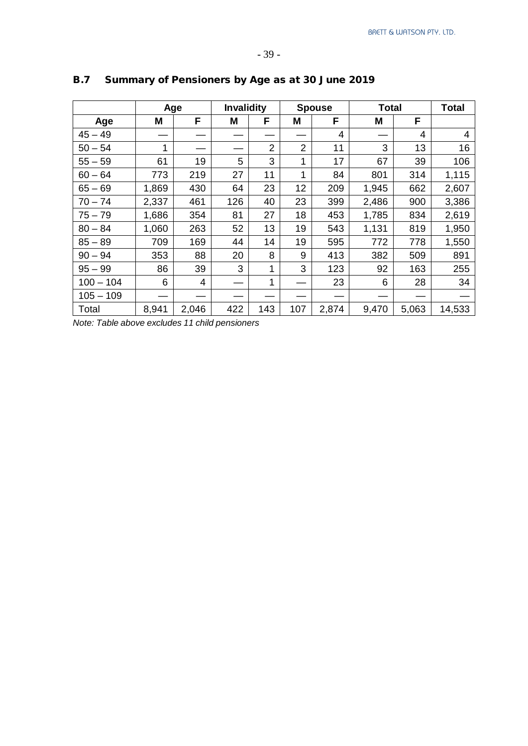|             |       | Age   | <b>Invalidity</b> |                |                | <b>Spouse</b> | <b>Total</b> |       | <b>Total</b> |
|-------------|-------|-------|-------------------|----------------|----------------|---------------|--------------|-------|--------------|
| Age         | M     | F     | Μ                 | F              | M              | F             | Μ            | F     |              |
| $45 - 49$   |       |       |                   |                |                | 4             |              | 4     | 4            |
| $50 - 54$   | 1     |       |                   | $\overline{2}$ | $\overline{2}$ | 11            | 3            | 13    | 16           |
| $55 - 59$   | 61    | 19    | 5                 | 3              | 1              | 17            | 67           | 39    | 106          |
| $60 - 64$   | 773   | 219   | 27                | 11             | 1              | 84            | 801          | 314   | 1,115        |
| $65 - 69$   | 1,869 | 430   | 64                | 23             | 12             | 209           | 1,945        | 662   | 2,607        |
| $70 - 74$   | 2,337 | 461   | 126               | 40             | 23             | 399           | 2,486        | 900   | 3,386        |
| $75 - 79$   | 1,686 | 354   | 81                | 27             | 18             | 453           | 1,785        | 834   | 2,619        |
| $80 - 84$   | 1,060 | 263   | 52                | 13             | 19             | 543           | 1,131        | 819   | 1,950        |
| $85 - 89$   | 709   | 169   | 44                | 14             | 19             | 595           | 772          | 778   | 1,550        |
| $90 - 94$   | 353   | 88    | 20                | 8              | 9              | 413           | 382          | 509   | 891          |
| $95 - 99$   | 86    | 39    | 3                 | 1              | 3              | 123           | 92           | 163   | 255          |
| $100 - 104$ | 6     | 4     |                   | 1              |                | 23            | 6            | 28    | 34           |
| $105 - 109$ |       |       |                   |                |                |               |              |       |              |
| Total       | 8,941 | 2,046 | 422               | 143            | 107            | 2,874         | 9,470        | 5,063 | 14,533       |

# B.7 Summary of Pensioners by Age as at 30 June 2019

*Note: Table above excludes 11 child pensioners*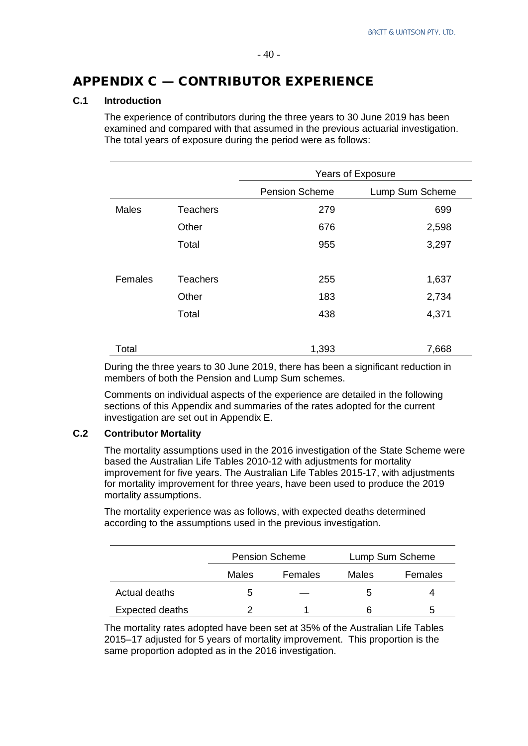#### $-40-$

## APPENDIX C — CONTRIBUTOR EXPERIENCE

#### **C.1 Introduction**

The experience of contributors during the three years to 30 June 2019 has been examined and compared with that assumed in the previous actuarial investigation. The total years of exposure during the period were as follows:

|              |                 | <b>Years of Exposure</b> |                 |  |
|--------------|-----------------|--------------------------|-----------------|--|
|              |                 | <b>Pension Scheme</b>    | Lump Sum Scheme |  |
| <b>Males</b> | <b>Teachers</b> | 279                      | 699             |  |
|              | Other           | 676                      | 2,598           |  |
|              | Total           | 955                      | 3,297           |  |
|              |                 |                          |                 |  |
| Females      | <b>Teachers</b> | 255                      | 1,637           |  |
|              | Other           | 183                      | 2,734           |  |
|              | Total           | 438                      | 4,371           |  |
|              |                 |                          |                 |  |
| Total        |                 | 1,393                    | 7,668           |  |

During the three years to 30 June 2019, there has been a significant reduction in members of both the Pension and Lump Sum schemes.

Comments on individual aspects of the experience are detailed in the following sections of this Appendix and summaries of the rates adopted for the current investigation are set out in Appendix E.

#### **C.2 Contributor Mortality**

The mortality assumptions used in the 2016 investigation of the State Scheme were based the Australian Life Tables 2010-12 with adjustments for mortality improvement for five years. The Australian Life Tables 2015-17, with adjustments for mortality improvement for three years, have been used to produce the 2019 mortality assumptions.

The mortality experience was as follows, with expected deaths determined according to the assumptions used in the previous investigation.

|                 |       | <b>Pension Scheme</b> |   | Lump Sum Scheme |
|-----------------|-------|-----------------------|---|-----------------|
|                 | Males | Females               |   | Females         |
| Actual deaths   | b     |                       | b | 4               |
| Expected deaths |       |                       | 6 | 5               |

The mortality rates adopted have been set at 35% of the Australian Life Tables 2015–17 adjusted for 5 years of mortality improvement. This proportion is the same proportion adopted as in the 2016 investigation.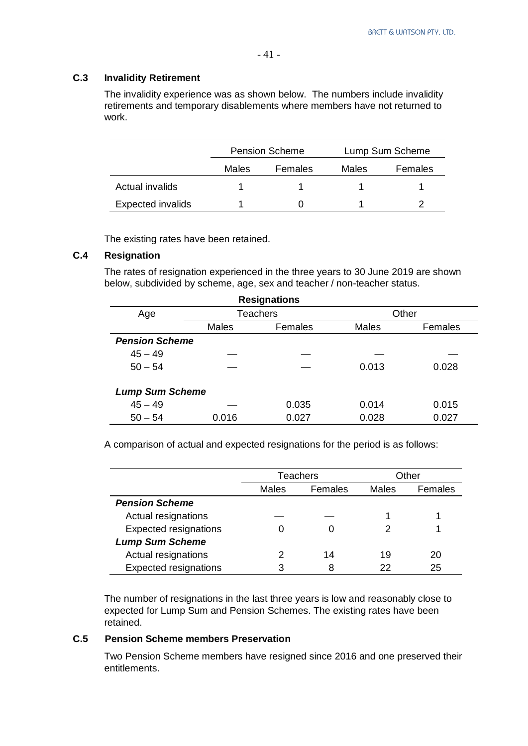#### **C.3 Invalidity Retirement**

The invalidity experience was as shown below. The numbers include invalidity retirements and temporary disablements where members have not returned to work.

|                          |       | <b>Pension Scheme</b> |       | Lump Sum Scheme |
|--------------------------|-------|-----------------------|-------|-----------------|
|                          | Males | Females               | Males | Females         |
| Actual invalids          |       |                       |       |                 |
| <b>Expected invalids</b> |       |                       |       |                 |

The existing rates have been retained.

#### **C.4 Resignation**

The rates of resignation experienced in the three years to 30 June 2019 are shown below, subdivided by scheme, age, sex and teacher / non-teacher status.

|                        |              | <b>Resignations</b> |              |         |  |
|------------------------|--------------|---------------------|--------------|---------|--|
| Age                    |              | <b>Teachers</b>     |              | Other   |  |
|                        | <b>Males</b> | Females             | <b>Males</b> | Females |  |
| <b>Pension Scheme</b>  |              |                     |              |         |  |
| $45 - 49$              |              |                     |              |         |  |
| $50 - 54$              |              |                     | 0.013        | 0.028   |  |
| <b>Lump Sum Scheme</b> |              |                     |              |         |  |
| $45 - 49$              |              | 0.035               | 0.014        | 0.015   |  |
| $50 - 54$              | 0.016        | 0.027               | 0.028        | 0.027   |  |

A comparison of actual and expected resignations for the period is as follows:

|                              |              | <b>Teachers</b> | Other        |         |
|------------------------------|--------------|-----------------|--------------|---------|
|                              | <b>Males</b> | Females         | <b>Males</b> | Females |
| <b>Pension Scheme</b>        |              |                 |              |         |
| Actual resignations          |              |                 |              |         |
| <b>Expected resignations</b> |              |                 |              |         |
| <b>Lump Sum Scheme</b>       |              |                 |              |         |
| Actual resignations          |              | 14              | 19           | 20      |
| <b>Expected resignations</b> | 3            | 8               | 22           | 25      |

The number of resignations in the last three years is low and reasonably close to expected for Lump Sum and Pension Schemes. The existing rates have been retained.

#### **C.5 Pension Scheme members Preservation**

Two Pension Scheme members have resigned since 2016 and one preserved their entitlements.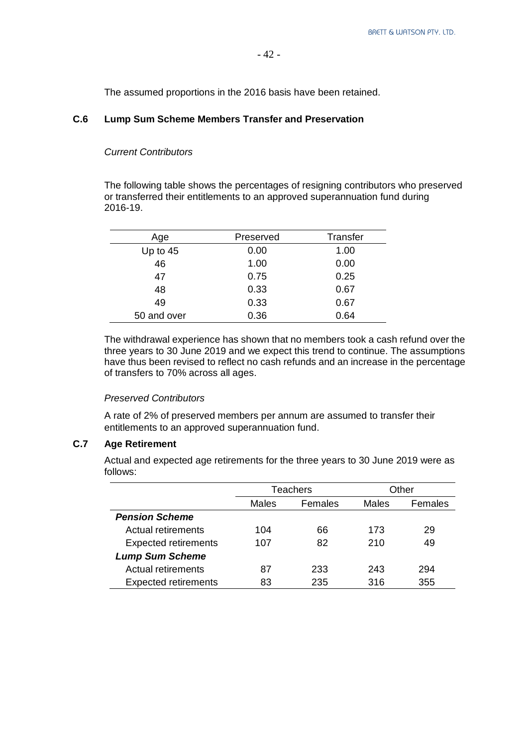The assumed proportions in the 2016 basis have been retained.

#### **C.6 Lump Sum Scheme Members Transfer and Preservation**

#### *Current Contributors*

The following table shows the percentages of resigning contributors who preserved or transferred their entitlements to an approved superannuation fund during 2016-19.

| Age         | Preserved | <b>Transfer</b> |
|-------------|-----------|-----------------|
| Up to $45$  | 0.00      | 1.00            |
| 46          | 1.00      | 0.00            |
| 47          | 0.75      | 0.25            |
| 48          | 0.33      | 0.67            |
| 49          | 0.33      | 0.67            |
| 50 and over | 0.36      | 0.64            |

The withdrawal experience has shown that no members took a cash refund over the three years to 30 June 2019 and we expect this trend to continue. The assumptions have thus been revised to reflect no cash refunds and an increase in the percentage of transfers to 70% across all ages.

#### *Preserved Contributors*

A rate of 2% of preserved members per annum are assumed to transfer their entitlements to an approved superannuation fund.

### **C.7 Age Retirement**

Actual and expected age retirements for the three years to 30 June 2019 were as follows:

|                             |       | <b>Teachers</b> | Other |         |
|-----------------------------|-------|-----------------|-------|---------|
|                             | Males | Females         | Males | Females |
| <b>Pension Scheme</b>       |       |                 |       |         |
| Actual retirements          | 104   | 66              | 173   | 29      |
| <b>Expected retirements</b> | 107   | 82              | 210   | 49      |
| <b>Lump Sum Scheme</b>      |       |                 |       |         |
| Actual retirements          | 87    | 233             | 243   | 294     |
| <b>Expected retirements</b> | 83    | 235             | 316   | 355     |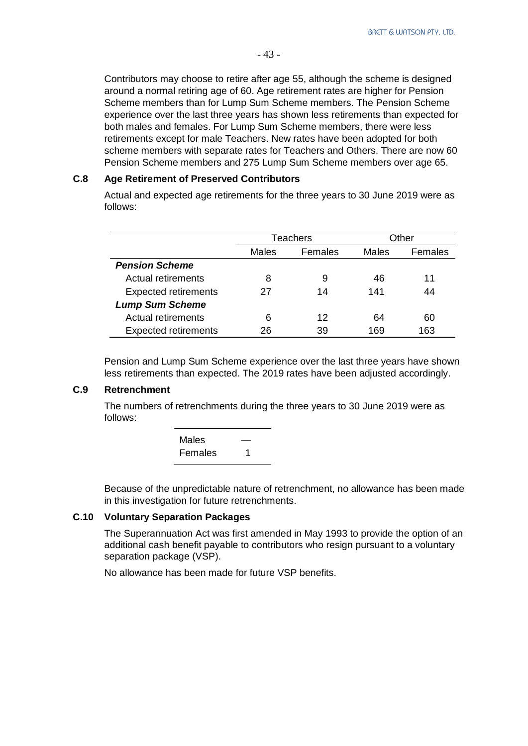Contributors may choose to retire after age 55, although the scheme is designed around a normal retiring age of 60. Age retirement rates are higher for Pension Scheme members than for Lump Sum Scheme members. The Pension Scheme experience over the last three years has shown less retirements than expected for both males and females. For Lump Sum Scheme members, there were less retirements except for male Teachers. New rates have been adopted for both scheme members with separate rates for Teachers and Others. There are now 60 Pension Scheme members and 275 Lump Sum Scheme members over age 65.

#### **C.8 Age Retirement of Preserved Contributors**

Actual and expected age retirements for the three years to 30 June 2019 were as follows:

|                             |              | <b>Teachers</b> | Other |         |
|-----------------------------|--------------|-----------------|-------|---------|
|                             | <b>Males</b> | Females         | Males | Females |
| <b>Pension Scheme</b>       |              |                 |       |         |
| Actual retirements          | 8            | 9               | 46    | 11      |
| <b>Expected retirements</b> | 27           | 14              | 141   | 44      |
| <b>Lump Sum Scheme</b>      |              |                 |       |         |
| Actual retirements          | 6            | 12              | 64    | 60      |
| <b>Expected retirements</b> | 26           | 39              | 169   | 163     |

Pension and Lump Sum Scheme experience over the last three years have shown less retirements than expected. The 2019 rates have been adjusted accordingly.

#### **C.9 Retrenchment**

The numbers of retrenchments during the three years to 30 June 2019 were as follows:

| <b>Males</b> |  |
|--------------|--|
| Females      |  |

Because of the unpredictable nature of retrenchment, no allowance has been made in this investigation for future retrenchments.

#### **C.10 Voluntary Separation Packages**

The Superannuation Act was first amended in May 1993 to provide the option of an additional cash benefit payable to contributors who resign pursuant to a voluntary separation package (VSP).

No allowance has been made for future VSP benefits.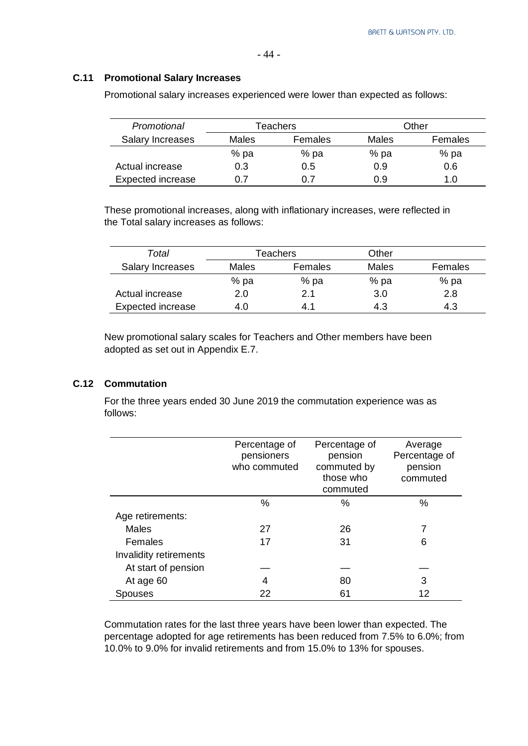#### **C.11 Promotional Salary Increases**

| Promotional              | Teachers         |      | Other |         |  |
|--------------------------|------------------|------|-------|---------|--|
| <b>Salary Increases</b>  | Females<br>Males |      | Males | Females |  |
|                          | % pa             | % pa | % pa  | % pa    |  |
| Actual increase          | 0.3              | 0.5  | 0.9   | 0.6     |  |
| <b>Expected increase</b> | 0.7              |      | 0.9   | 1.0     |  |

Promotional salary increases experienced were lower than expected as follows:

These promotional increases, along with inflationary increases, were reflected in the Total salary increases as follows:

| Total                    | Teachers |         | Other |         |
|--------------------------|----------|---------|-------|---------|
| Salary Increases         | Males    | Females | Males | Females |
|                          | % pa     | % pa    | % pa  | % pa    |
| Actual increase          | 2.0      | 2.1     | 3.0   | 2.8     |
| <b>Expected increase</b> | 4.0      | 4.1     | 4.3   | 4.3     |

New promotional salary scales for Teachers and Other members have been adopted as set out in Appendix E.7.

### **C.12 Commutation**

For the three years ended 30 June 2019 the commutation experience was as follows:

|                        | Percentage of<br>pensioners<br>who commuted | Percentage of<br>pension<br>commuted by<br>those who<br>commuted | Average<br>Percentage of<br>pension<br>commuted |
|------------------------|---------------------------------------------|------------------------------------------------------------------|-------------------------------------------------|
|                        | %                                           | $\%$                                                             | %                                               |
| Age retirements:       |                                             |                                                                  |                                                 |
| <b>Males</b>           | 27                                          | 26                                                               | 7                                               |
| Females                | 17                                          | 31                                                               | 6                                               |
| Invalidity retirements |                                             |                                                                  |                                                 |
| At start of pension    |                                             |                                                                  |                                                 |
| At age 60              | 4                                           | 80                                                               | 3                                               |
| Spouses                | 22                                          | 61                                                               | 12                                              |

Commutation rates for the last three years have been lower than expected. The percentage adopted for age retirements has been reduced from 7.5% to 6.0%; from 10.0% to 9.0% for invalid retirements and from 15.0% to 13% for spouses.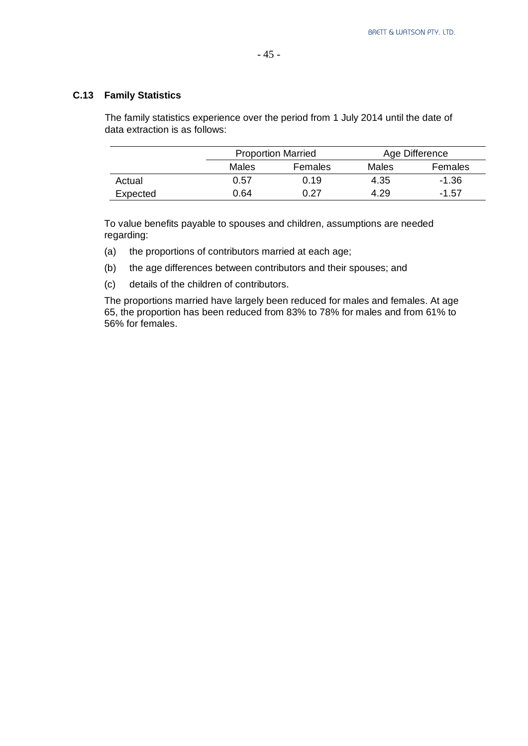### **C.13 Family Statistics**

The family statistics experience over the period from 1 July 2014 until the date of data extraction is as follows:

- 45 -

|          |       | <b>Proportion Married</b> |       | Age Difference |
|----------|-------|---------------------------|-------|----------------|
|          | Males | <b>Females</b>            | Males | Females        |
| Actual   | 0.57  | 0.19                      | 4.35  | $-1.36$        |
| Expected | 0.64  | 0.27                      | 4.29  | $-1.57$        |

To value benefits payable to spouses and children, assumptions are needed regarding:

- (a) the proportions of contributors married at each age;
- (b) the age differences between contributors and their spouses; and
- (c) details of the children of contributors.

The proportions married have largely been reduced for males and females. At age 65, the proportion has been reduced from 83% to 78% for males and from 61% to 56% for females.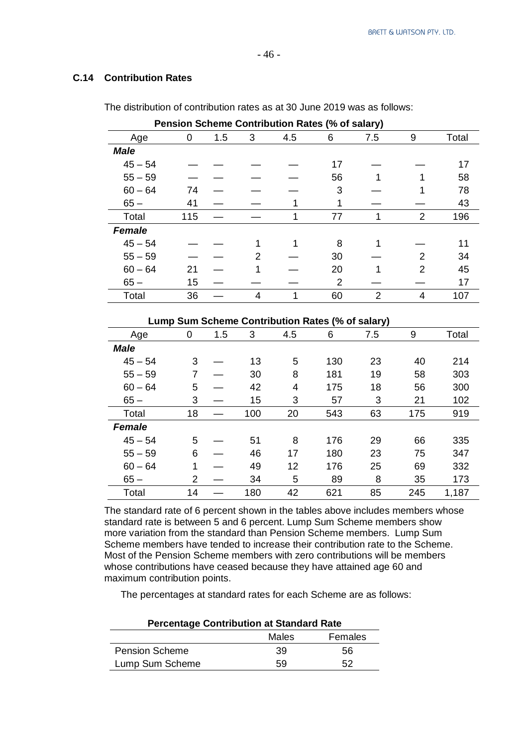#### **C.14 Contribution Rates**

|               |     |     |   |     | Pension Scheme Contribution Rates (% of salary) |                |                |       |
|---------------|-----|-----|---|-----|-------------------------------------------------|----------------|----------------|-------|
| Age           | 0   | 1.5 | 3 | 4.5 | 6                                               | 7.5            | 9              | Total |
| <b>Male</b>   |     |     |   |     |                                                 |                |                |       |
| $45 - 54$     |     |     |   |     | 17                                              |                |                | 17    |
| $55 - 59$     |     |     |   |     | 56                                              |                |                | 58    |
| $60 - 64$     | 74  |     |   |     | 3                                               |                |                | 78    |
| $65-$         | 41  |     |   |     | 1                                               |                |                | 43    |
| Total         | 115 |     |   |     | 77                                              |                | $\overline{2}$ | 196   |
| <b>Female</b> |     |     |   |     |                                                 |                |                |       |
| $45 - 54$     |     |     |   |     | 8                                               |                |                | 11    |
| $55 - 59$     |     |     | 2 |     | 30                                              |                | $\mathcal{P}$  | 34    |
| $60 - 64$     | 21  |     |   |     | 20                                              |                | 2              | 45    |
| $65-$         | 15  |     |   |     | $\overline{2}$                                  |                |                | 17    |
| Total         | 36  |     | 4 |     | 60                                              | $\overline{2}$ |                | 107   |

The distribution of contribution rates as at 30 June 2019 was as follows:

#### **Lump Sum Scheme Contribution Rates (% of salary)**

| Age           | $\mathbf 0$ | 1.5 | 3   | 4.5 | 6   | 7.5 | 9   | Total |
|---------------|-------------|-----|-----|-----|-----|-----|-----|-------|
| <b>Male</b>   |             |     |     |     |     |     |     |       |
| $45 - 54$     | 3           |     | 13  | 5   | 130 | 23  | 40  | 214   |
| $55 - 59$     | 7           |     | 30  | 8   | 181 | 19  | 58  | 303   |
| $60 - 64$     | 5           |     | 42  | 4   | 175 | 18  | 56  | 300   |
| $65-$         | 3           |     | 15  | 3   | 57  | 3   | 21  | 102   |
| Total         | 18          |     | 100 | 20  | 543 | 63  | 175 | 919   |
| <b>Female</b> |             |     |     |     |     |     |     |       |
| $45 - 54$     | 5           |     | 51  | 8   | 176 | 29  | 66  | 335   |
| $55 - 59$     | 6           |     | 46  | 17  | 180 | 23  | 75  | 347   |
| $60 - 64$     | 1           |     | 49  | 12  | 176 | 25  | 69  | 332   |
| $65-$         | 2           |     | 34  | 5   | 89  | 8   | 35  | 173   |
| Total         | 14          |     | 180 | 42  | 621 | 85  | 245 | 1,187 |

The standard rate of 6 percent shown in the tables above includes members whose standard rate is between 5 and 6 percent. Lump Sum Scheme members show more variation from the standard than Pension Scheme members. Lump Sum Scheme members have tended to increase their contribution rate to the Scheme. Most of the Pension Scheme members with zero contributions will be members whose contributions have ceased because they have attained age 60 and maximum contribution points.

The percentages at standard rates for each Scheme are as follows:

| $\sim$ . The company of the company of the company in the contract of the contract of the contract of the contract of the contract of the contract of the contract of the contract of the contract of the contract of the contr |       |         |  |  |
|---------------------------------------------------------------------------------------------------------------------------------------------------------------------------------------------------------------------------------|-------|---------|--|--|
|                                                                                                                                                                                                                                 | Males | Females |  |  |
| <b>Pension Scheme</b>                                                                                                                                                                                                           | 39    | 56      |  |  |
| Lump Sum Scheme                                                                                                                                                                                                                 | 59    | 52      |  |  |

#### **Percentage Contribution at Standard Rate**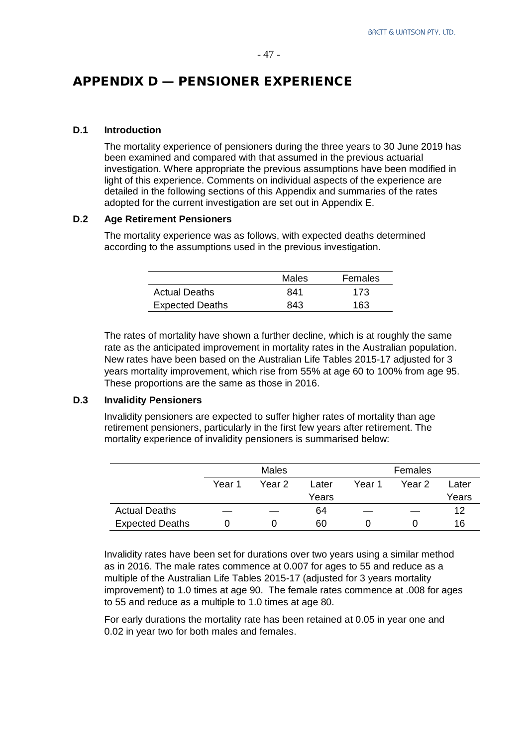# APPENDIX D — PENSIONER EXPERIENCE

#### **D.1 Introduction**

The mortality experience of pensioners during the three years to 30 June 2019 has been examined and compared with that assumed in the previous actuarial investigation. Where appropriate the previous assumptions have been modified in light of this experience. Comments on individual aspects of the experience are detailed in the following sections of this Appendix and summaries of the rates adopted for the current investigation are set out in Appendix E.

#### **D.2 Age Retirement Pensioners**

The mortality experience was as follows, with expected deaths determined according to the assumptions used in the previous investigation.

|                        | Males | Females |
|------------------------|-------|---------|
| <b>Actual Deaths</b>   | 841   | 173     |
| <b>Expected Deaths</b> | 843   | 163     |

The rates of mortality have shown a further decline, which is at roughly the same rate as the anticipated improvement in mortality rates in the Australian population. New rates have been based on the Australian Life Tables 2015-17 adjusted for 3 years mortality improvement, which rise from 55% at age 60 to 100% from age 95. These proportions are the same as those in 2016.

#### **D.3 Invalidity Pensioners**

Invalidity pensioners are expected to suffer higher rates of mortality than age retirement pensioners, particularly in the first few years after retirement. The mortality experience of invalidity pensioners is summarised below:

|                        | Males  |        |       | Females |        |       |
|------------------------|--------|--------|-------|---------|--------|-------|
|                        | Year 1 | Year 2 | Later | Year 1  | Year 2 | Later |
|                        |        |        | Years |         |        | Years |
| <b>Actual Deaths</b>   |        |        | 64    |         |        | 12    |
| <b>Expected Deaths</b> |        |        | 60    |         |        | 16    |

Invalidity rates have been set for durations over two years using a similar method as in 2016. The male rates commence at 0.007 for ages to 55 and reduce as a multiple of the Australian Life Tables 2015-17 (adjusted for 3 years mortality improvement) to 1.0 times at age 90. The female rates commence at .008 for ages to 55 and reduce as a multiple to 1.0 times at age 80.

For early durations the mortality rate has been retained at 0.05 in year one and 0.02 in year two for both males and females.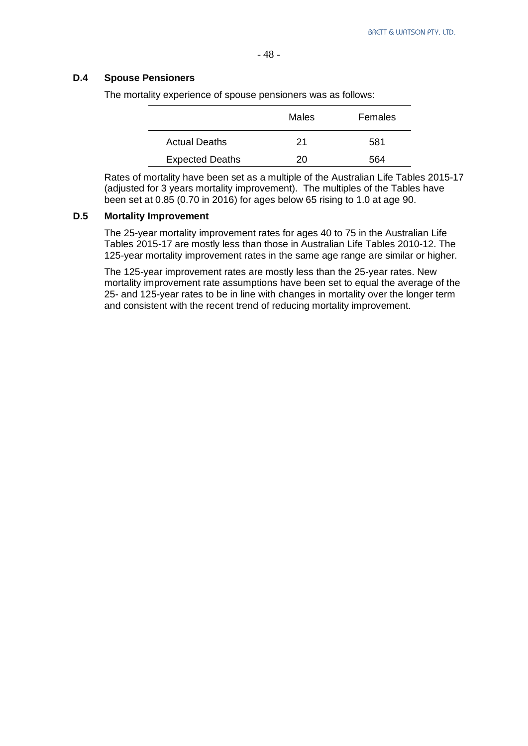#### **D.4 Spouse Pensioners**

The mortality experience of spouse pensioners was as follows:

|                        | Males | Females |
|------------------------|-------|---------|
| <b>Actual Deaths</b>   | 21    | 581     |
| <b>Expected Deaths</b> | 20    | 564     |

Rates of mortality have been set as a multiple of the Australian Life Tables 2015-17 (adjusted for 3 years mortality improvement). The multiples of the Tables have been set at 0.85 (0.70 in 2016) for ages below 65 rising to 1.0 at age 90.

#### **D.5 Mortality Improvement**

The 25-year mortality improvement rates for ages 40 to 75 in the Australian Life Tables 2015-17 are mostly less than those in Australian Life Tables 2010-12. The 125-year mortality improvement rates in the same age range are similar or higher.

The 125-year improvement rates are mostly less than the 25-year rates. New mortality improvement rate assumptions have been set to equal the average of the 25- and 125-year rates to be in line with changes in mortality over the longer term and consistent with the recent trend of reducing mortality improvement.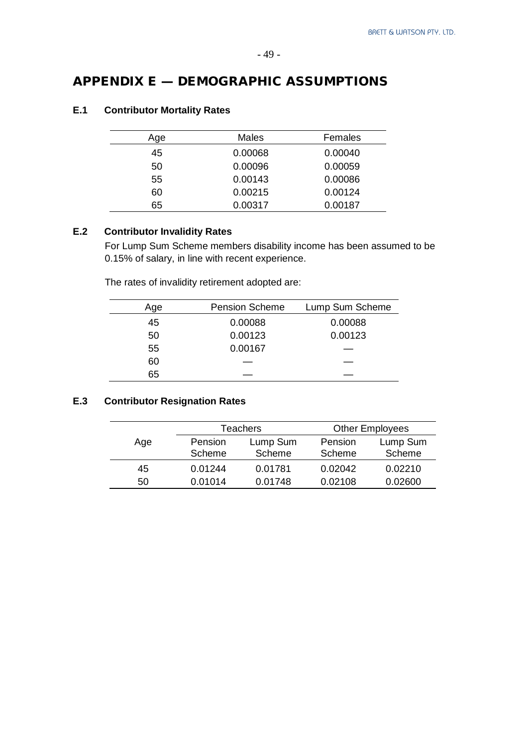# APPENDIX E — DEMOGRAPHIC ASSUMPTIONS

| Age | Males   | Females |
|-----|---------|---------|
| 45  | 0.00068 | 0.00040 |
| 50  | 0.00096 | 0.00059 |
| 55  | 0.00143 | 0.00086 |
| 60  | 0.00215 | 0.00124 |
| 65  | 0.00317 | 0.00187 |

### **E.1 Contributor Mortality Rates**

### **E.2 Contributor Invalidity Rates**

For Lump Sum Scheme members disability income has been assumed to be 0.15% of salary, in line with recent experience.

The rates of invalidity retirement adopted are:

| Age | <b>Pension Scheme</b> | Lump Sum Scheme |
|-----|-----------------------|-----------------|
| 45  | 0.00088               | 0.00088         |
| 50  | 0.00123               | 0.00123         |
| 55  | 0.00167               |                 |
| 60  |                       |                 |
| 65  |                       |                 |

#### **E.3 Contributor Resignation Rates**

|     |         | <b>Teachers</b> |         | <b>Other Employees</b> |
|-----|---------|-----------------|---------|------------------------|
| Age | Pension | Lump Sum        | Pension | Lump Sum               |
|     | Scheme  | Scheme          | Scheme  | Scheme                 |
| 45  | 0.01244 | 0.01781         | 0.02042 | 0.02210                |
| 50  | 0.01014 | 0.01748         | 0.02108 | 0.02600                |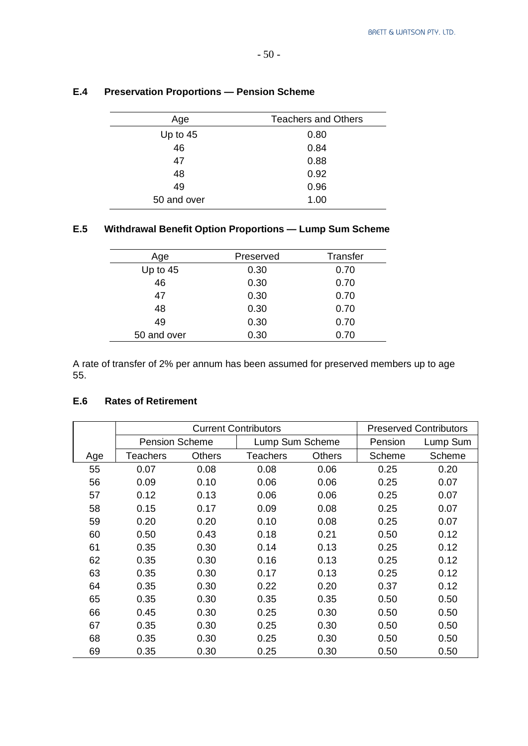| Age         | <b>Teachers and Others</b> |
|-------------|----------------------------|
| Up to $45$  | 0.80                       |
| 46          | 0.84                       |
| 47          | 0.88                       |
| 48          | 0.92                       |
| 49          | 0.96                       |
| 50 and over | 1.00                       |

### **E.4 Preservation Proportions — Pension Scheme**

# **E.5 Withdrawal Benefit Option Proportions — Lump Sum Scheme**

| Age         | Preserved | <b>Transfer</b> |
|-------------|-----------|-----------------|
| Up to $45$  | 0.30      | 0.70            |
| 46          | 0.30      | 0.70            |
| 47          | 0.30      | 0.70            |
| 48          | 0.30      | 0.70            |
| 49          | 0.30      | 0.70            |
| 50 and over | 0.30      | 0.70            |

A rate of transfer of 2% per annum has been assumed for preserved members up to age 55.

#### **E.6 Rates of Retirement**

|     | <b>Current Contributors</b> |               |                 | <b>Preserved Contributors</b> |         |          |
|-----|-----------------------------|---------------|-----------------|-------------------------------|---------|----------|
|     | <b>Pension Scheme</b>       |               | Lump Sum Scheme |                               | Pension | Lump Sum |
| Age | Teachers                    | <b>Others</b> | <b>Teachers</b> | <b>Others</b>                 | Scheme  | Scheme   |
| 55  | 0.07                        | 0.08          | 0.08            | 0.06                          | 0.25    | 0.20     |
| 56  | 0.09                        | 0.10          | 0.06            | 0.06                          | 0.25    | 0.07     |
| 57  | 0.12                        | 0.13          | 0.06            | 0.06                          | 0.25    | 0.07     |
| 58  | 0.15                        | 0.17          | 0.09            | 0.08                          | 0.25    | 0.07     |
| 59  | 0.20                        | 0.20          | 0.10            | 0.08                          | 0.25    | 0.07     |
| 60  | 0.50                        | 0.43          | 0.18            | 0.21                          | 0.50    | 0.12     |
| 61  | 0.35                        | 0.30          | 0.14            | 0.13                          | 0.25    | 0.12     |
| 62  | 0.35                        | 0.30          | 0.16            | 0.13                          | 0.25    | 0.12     |
| 63  | 0.35                        | 0.30          | 0.17            | 0.13                          | 0.25    | 0.12     |
| 64  | 0.35                        | 0.30          | 0.22            | 0.20                          | 0.37    | 0.12     |
| 65  | 0.35                        | 0.30          | 0.35            | 0.35                          | 0.50    | 0.50     |
| 66  | 0.45                        | 0.30          | 0.25            | 0.30                          | 0.50    | 0.50     |
| 67  | 0.35                        | 0.30          | 0.25            | 0.30                          | 0.50    | 0.50     |
| 68  | 0.35                        | 0.30          | 0.25            | 0.30                          | 0.50    | 0.50     |
| 69  | 0.35                        | 0.30          | 0.25            | 0.30                          | 0.50    | 0.50     |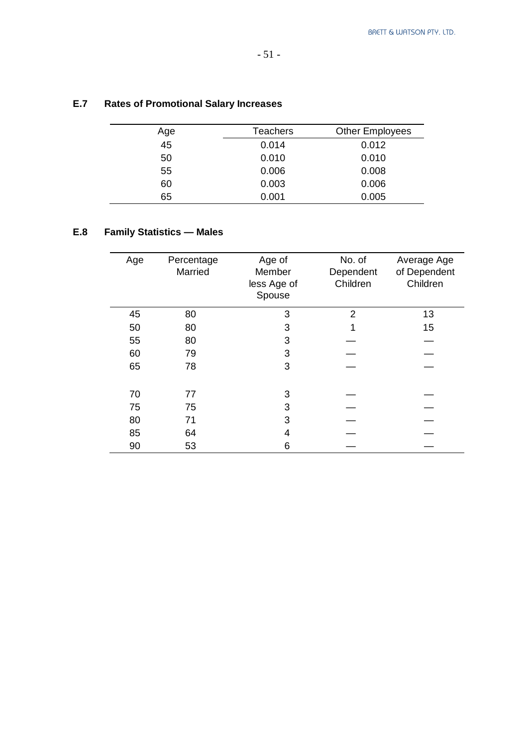# **E.7 Rates of Promotional Salary Increases**

| Age | <b>Teachers</b> | <b>Other Employees</b> |
|-----|-----------------|------------------------|
| 45  | 0.014           | 0.012                  |
| 50  | 0.010           | 0.010                  |
| 55  | 0.006           | 0.008                  |
| 60  | 0.003           | 0.006                  |
| 65  | 0.001           | 0.005                  |

# **E.8 Family Statistics — Males**

| Age | Percentage<br>Married | Age of<br>Member<br>less Age of<br>Spouse | No. of<br>Dependent<br>Children | Average Age<br>of Dependent<br>Children |
|-----|-----------------------|-------------------------------------------|---------------------------------|-----------------------------------------|
| 45  | 80                    | 3                                         | $\overline{2}$                  | 13                                      |
| 50  | 80                    | 3                                         |                                 | 15                                      |
| 55  | 80                    | 3                                         |                                 |                                         |
| 60  | 79                    | 3                                         |                                 |                                         |
| 65  | 78                    | 3                                         |                                 |                                         |
|     |                       |                                           |                                 |                                         |
| 70  | 77                    | 3                                         |                                 |                                         |
| 75  | 75                    | 3                                         |                                 |                                         |
| 80  | 71                    | 3                                         |                                 |                                         |
| 85  | 64                    | 4                                         |                                 |                                         |
| 90  | 53                    | 6                                         |                                 |                                         |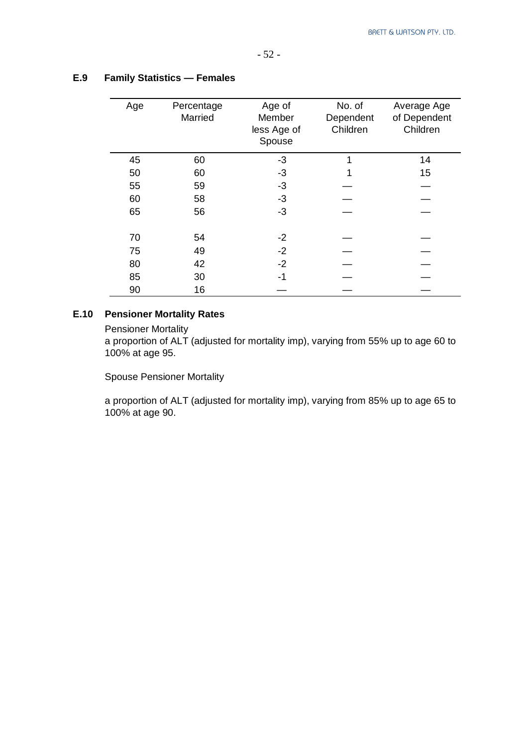| Age | Percentage<br>Married | Age of<br>Member<br>less Age of<br>Spouse | No. of<br>Dependent<br>Children | Average Age<br>of Dependent<br>Children |
|-----|-----------------------|-------------------------------------------|---------------------------------|-----------------------------------------|
| 45  | 60                    | $-3$                                      | 1                               | 14                                      |
| 50  | 60                    | $-3$                                      |                                 | 15                                      |
| 55  | 59                    | -3                                        |                                 |                                         |
| 60  | 58                    | $-3$                                      |                                 |                                         |
| 65  | 56                    | $-3$                                      |                                 |                                         |
| 70  | 54                    | -2                                        |                                 |                                         |
| 75  | 49                    | $-2$                                      |                                 |                                         |
| 80  | 42                    | $-2$                                      |                                 |                                         |
| 85  | 30                    | -1                                        |                                 |                                         |
| 90  | 16                    |                                           |                                 |                                         |

#### **E.9 Family Statistics — Females**

### **E.10 Pensioner Mortality Rates**

Pensioner Mortality

a proportion of ALT (adjusted for mortality imp), varying from 55% up to age 60 to 100% at age 95.

Spouse Pensioner Mortality

a proportion of ALT (adjusted for mortality imp), varying from 85% up to age 65 to 100% at age 90.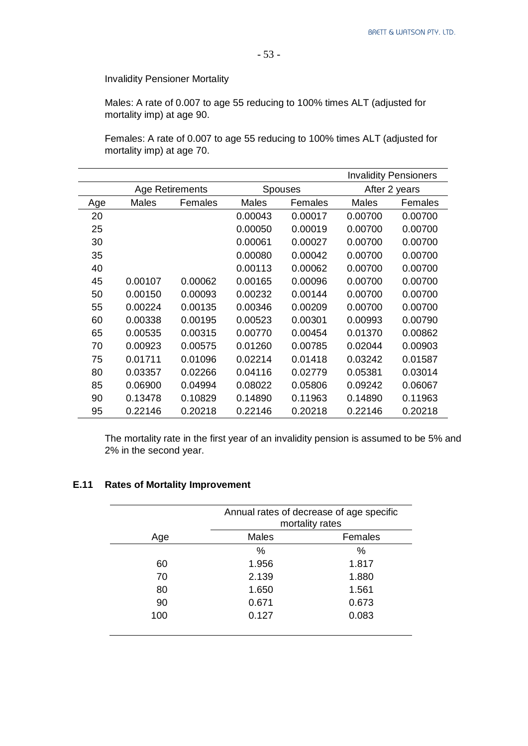Invalidity Pensioner Mortality

Males: A rate of 0.007 to age 55 reducing to 100% times ALT (adjusted for mortality imp) at age 90.

Females: A rate of 0.007 to age 55 reducing to 100% times ALT (adjusted for mortality imp) at age 70.

|     |         |                        |              |                |              | <b>Invalidity Pensioners</b> |
|-----|---------|------------------------|--------------|----------------|--------------|------------------------------|
|     |         | <b>Age Retirements</b> |              | <b>Spouses</b> |              | After 2 years                |
| Age | Males   | Females                | <b>Males</b> | Females        | <b>Males</b> | Females                      |
| 20  |         |                        | 0.00043      | 0.00017        | 0.00700      | 0.00700                      |
| 25  |         |                        | 0.00050      | 0.00019        | 0.00700      | 0.00700                      |
| 30  |         |                        | 0.00061      | 0.00027        | 0.00700      | 0.00700                      |
| 35  |         |                        | 0.00080      | 0.00042        | 0.00700      | 0.00700                      |
| 40  |         |                        | 0.00113      | 0.00062        | 0.00700      | 0.00700                      |
| 45  | 0.00107 | 0.00062                | 0.00165      | 0.00096        | 0.00700      | 0.00700                      |
| 50  | 0.00150 | 0.00093                | 0.00232      | 0.00144        | 0.00700      | 0.00700                      |
| 55  | 0.00224 | 0.00135                | 0.00346      | 0.00209        | 0.00700      | 0.00700                      |
| 60  | 0.00338 | 0.00195                | 0.00523      | 0.00301        | 0.00993      | 0.00790                      |
| 65  | 0.00535 | 0.00315                | 0.00770      | 0.00454        | 0.01370      | 0.00862                      |
| 70  | 0.00923 | 0.00575                | 0.01260      | 0.00785        | 0.02044      | 0.00903                      |
| 75  | 0.01711 | 0.01096                | 0.02214      | 0.01418        | 0.03242      | 0.01587                      |
| 80  | 0.03357 | 0.02266                | 0.04116      | 0.02779        | 0.05381      | 0.03014                      |
| 85  | 0.06900 | 0.04994                | 0.08022      | 0.05806        | 0.09242      | 0.06067                      |
| 90  | 0.13478 | 0.10829                | 0.14890      | 0.11963        | 0.14890      | 0.11963                      |
| 95  | 0.22146 | 0.20218                | 0.22146      | 0.20218        | 0.22146      | 0.20218                      |

The mortality rate in the first year of an invalidity pension is assumed to be 5% and 2% in the second year.

#### **E.11 Rates of Mortality Improvement**

|     | Annual rates of decrease of age specific<br>mortality rates |         |
|-----|-------------------------------------------------------------|---------|
| Age | <b>Males</b>                                                | Females |
|     | %                                                           | $\%$    |
| 60  | 1.956                                                       | 1.817   |
| 70  | 2.139                                                       | 1.880   |
| 80  | 1.650                                                       | 1.561   |
| 90  | 0.671                                                       | 0.673   |
| 100 | 0.127                                                       | 0.083   |
|     |                                                             |         |